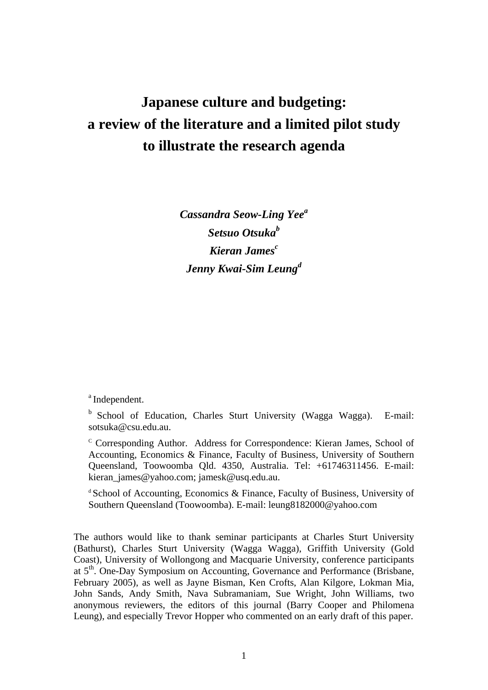# **Japanese culture and budgeting: a review of the literature and a limited pilot study to illustrate the research agenda**

*Cassandra Seow-Ling Yeea Setsuo Otsuka<sup>b</sup> Kieran James<sup>c</sup> Jenny Kwai-Sim Leung<sup>d</sup>*

a Independent.

<sup>b</sup> School of Education, Charles Sturt University (Wagga Wagga). E-mail: sotsuka@csu.edu.au.

<sup>C</sup> Corresponding Author. Address for Correspondence: Kieran James, School of Accounting, Economics & Finance, Faculty of Business, University of Southern Queensland, Toowoomba Qld. 4350, Australia. Tel: +61746311456. E-mail: kieran\_james@yahoo.com; jamesk@usq.edu.au.

 $d$  School of Accounting, Economics & Finance, Faculty of Business, University of Southern Queensland (Toowoomba). E-mail: leung8182000@yahoo.com

The authors would like to thank seminar participants at Charles Sturt University (Bathurst), Charles Sturt University (Wagga Wagga), Griffith University (Gold Coast), University of Wollongong and Macquarie University, conference participants at 5<sup>th</sup>. One-Day Symposium on Accounting, Governance and Performance (Brisbane, February 2005), as well as Jayne Bisman, Ken Crofts, Alan Kilgore, Lokman Mia, John Sands, Andy Smith, Nava Subramaniam, Sue Wright, John Williams, two anonymous reviewers, the editors of this journal (Barry Cooper and Philomena Leung), and especially Trevor Hopper who commented on an early draft of this paper.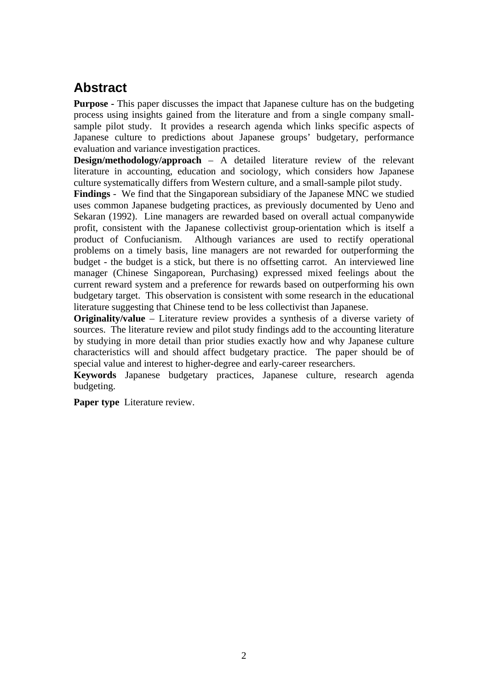# **Abstract**

**Purpose -** This paper discusses the impact that Japanese culture has on the budgeting process using insights gained from the literature and from a single company smallsample pilot study. It provides a research agenda which links specific aspects of Japanese culture to predictions about Japanese groups' budgetary, performance evaluation and variance investigation practices.

**Design/methodology/approach** – A detailed literature review of the relevant literature in accounting, education and sociology, which considers how Japanese culture systematically differs from Western culture, and a small-sample pilot study.

**Findings** - We find that the Singaporean subsidiary of the Japanese MNC we studied uses common Japanese budgeting practices, as previously documented by Ueno and Sekaran (1992). Line managers are rewarded based on overall actual companywide profit, consistent with the Japanese collectivist group-orientation which is itself a product of Confucianism. Although variances are used to rectify operational problems on a timely basis, line managers are not rewarded for outperforming the budget - the budget is a stick, but there is no offsetting carrot. An interviewed line manager (Chinese Singaporean, Purchasing) expressed mixed feelings about the current reward system and a preference for rewards based on outperforming his own budgetary target. This observation is consistent with some research in the educational literature suggesting that Chinese tend to be less collectivist than Japanese.

**Originality/value** – Literature review provides a synthesis of a diverse variety of sources. The literature review and pilot study findings add to the accounting literature by studying in more detail than prior studies exactly how and why Japanese culture characteristics will and should affect budgetary practice. The paper should be of special value and interest to higher-degree and early-career researchers.

**Keywords** Japanese budgetary practices, Japanese culture, research agenda budgeting.

**Paper type** Literature review.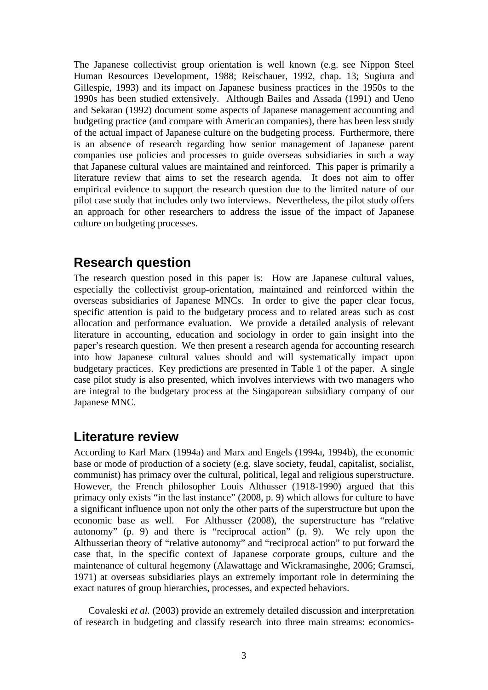The Japanese collectivist group orientation is well known (e.g. see Nippon Steel Human Resources Development, 1988; Reischauer, 1992, chap. 13; Sugiura and Gillespie, 1993) and its impact on Japanese business practices in the 1950s to the 1990s has been studied extensively. Although Bailes and Assada (1991) and Ueno and Sekaran (1992) document some aspects of Japanese management accounting and budgeting practice (and compare with American companies), there has been less study of the actual impact of Japanese culture on the budgeting process. Furthermore, there is an absence of research regarding how senior management of Japanese parent companies use policies and processes to guide overseas subsidiaries in such a way that Japanese cultural values are maintained and reinforced. This paper is primarily a literature review that aims to set the research agenda. It does not aim to offer empirical evidence to support the research question due to the limited nature of our pilot case study that includes only two interviews. Nevertheless, the pilot study offers an approach for other researchers to address the issue of the impact of Japanese culture on budgeting processes.

## **Research question**

The research question posed in this paper is: How are Japanese cultural values, especially the collectivist group-orientation, maintained and reinforced within the overseas subsidiaries of Japanese MNCs. In order to give the paper clear focus, specific attention is paid to the budgetary process and to related areas such as cost allocation and performance evaluation. We provide a detailed analysis of relevant literature in accounting, education and sociology in order to gain insight into the paper's research question. We then present a research agenda for accounting research into how Japanese cultural values should and will systematically impact upon budgetary practices. Key predictions are presented in Table 1 of the paper. A single case pilot study is also presented, which involves interviews with two managers who are integral to the budgetary process at the Singaporean subsidiary company of our Japanese MNC.

# **Literature review**

According to Karl Marx (1994a) and Marx and Engels (1994a, 1994b), the economic base or mode of production of a society (e.g. slave society, feudal, capitalist, socialist, communist) has primacy over the cultural, political, legal and religious superstructure. However, the French philosopher Louis Althusser (1918-1990) argued that this primacy only exists "in the last instance" (2008, p. 9) which allows for culture to have a significant influence upon not only the other parts of the superstructure but upon the economic base as well. For Althusser (2008), the superstructure has "relative autonomy" (p. 9) and there is "reciprocal action" (p. 9). We rely upon the Althusserian theory of "relative autonomy" and "reciprocal action" to put forward the case that, in the specific context of Japanese corporate groups, culture and the maintenance of cultural hegemony (Alawattage and Wickramasinghe, 2006; Gramsci, 1971) at overseas subsidiaries plays an extremely important role in determining the exact natures of group hierarchies, processes, and expected behaviors.

Covaleski *et al.* (2003) provide an extremely detailed discussion and interpretation of research in budgeting and classify research into three main streams: economics-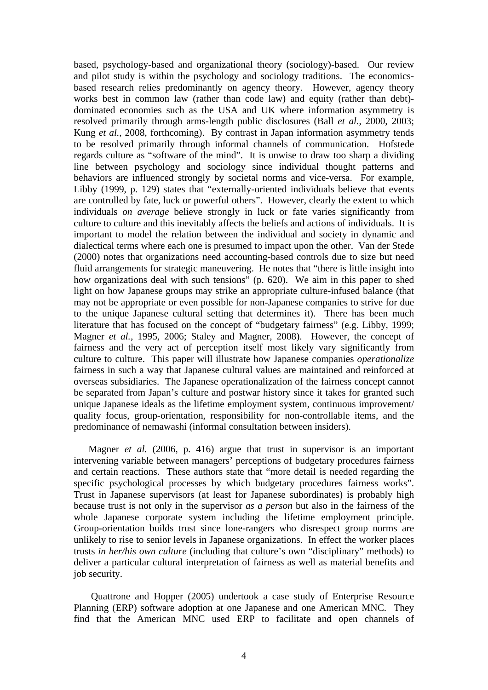based, psychology-based and organizational theory (sociology)-based. Our review and pilot study is within the psychology and sociology traditions. The economicsbased research relies predominantly on agency theory. However, agency theory works best in common law (rather than code law) and equity (rather than debt) dominated economies such as the USA and UK where information asymmetry is resolved primarily through arms-length public disclosures (Ball *et al.*, 2000, 2003; Kung *et al.*, 2008, forthcoming). By contrast in Japan information asymmetry tends to be resolved primarily through informal channels of communication. Hofstede regards culture as "software of the mind". It is unwise to draw too sharp a dividing line between psychology and sociology since individual thought patterns and behaviors are influenced strongly by societal norms and vice-versa. For example, Libby (1999, p. 129) states that "externally-oriented individuals believe that events are controlled by fate, luck or powerful others". However, clearly the extent to which individuals *on average* believe strongly in luck or fate varies significantly from culture to culture and this inevitably affects the beliefs and actions of individuals. It is important to model the relation between the individual and society in dynamic and dialectical terms where each one is presumed to impact upon the other. Van der Stede (2000) notes that organizations need accounting-based controls due to size but need fluid arrangements for strategic maneuvering. He notes that "there is little insight into how organizations deal with such tensions" (p. 620). We aim in this paper to shed light on how Japanese groups may strike an appropriate culture-infused balance (that may not be appropriate or even possible for non-Japanese companies to strive for due to the unique Japanese cultural setting that determines it). There has been much literature that has focused on the concept of "budgetary fairness" (e.g. Libby, 1999; Magner *et al.*, 1995, 2006; Staley and Magner, 2008). However, the concept of fairness and the very act of perception itself most likely vary significantly from culture to culture. This paper will illustrate how Japanese companies *operationalize* fairness in such a way that Japanese cultural values are maintained and reinforced at overseas subsidiaries. The Japanese operationalization of the fairness concept cannot be separated from Japan's culture and postwar history since it takes for granted such unique Japanese ideals as the lifetime employment system, continuous improvement/ quality focus, group-orientation, responsibility for non-controllable items, and the predominance of nemawashi (informal consultation between insiders).

Magner *et al.* (2006, p. 416) argue that trust in supervisor is an important intervening variable between managers' perceptions of budgetary procedures fairness and certain reactions. These authors state that "more detail is needed regarding the specific psychological processes by which budgetary procedures fairness works". Trust in Japanese supervisors (at least for Japanese subordinates) is probably high because trust is not only in the supervisor *as a person* but also in the fairness of the whole Japanese corporate system including the lifetime employment principle. Group-orientation builds trust since lone-rangers who disrespect group norms are unlikely to rise to senior levels in Japanese organizations. In effect the worker places trusts *in her/his own culture* (including that culture's own "disciplinary" methods) to deliver a particular cultural interpretation of fairness as well as material benefits and job security.

Quattrone and Hopper (2005) undertook a case study of Enterprise Resource Planning (ERP) software adoption at one Japanese and one American MNC. They find that the American MNC used ERP to facilitate and open channels of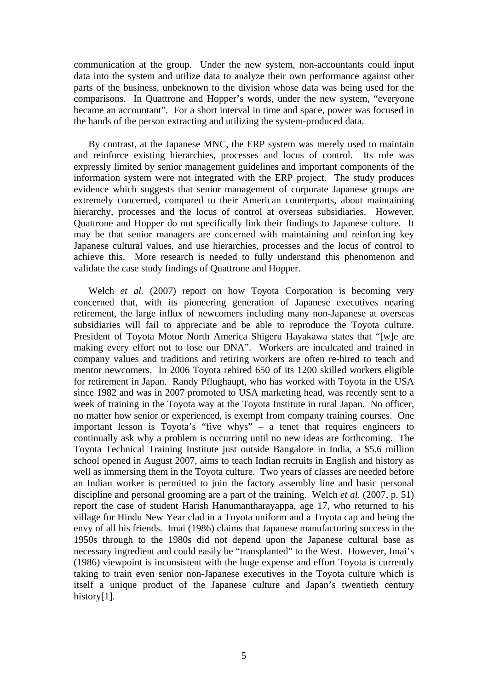communication at the group. Under the new system, non-accountants could input data into the system and utilize data to analyze their own performance against other parts of the business, unbeknown to the division whose data was being used for the comparisons. In Quattrone and Hopper's words, under the new system, "everyone became an accountant". For a short interval in time and space, power was focused in the hands of the person extracting and utilizing the system-produced data.

By contrast, at the Japanese MNC, the ERP system was merely used to maintain and reinforce existing hierarchies, processes and locus of control. Its role was expressly limited by senior management guidelines and important components of the information system were not integrated with the ERP project. The study produces evidence which suggests that senior management of corporate Japanese groups are extremely concerned, compared to their American counterparts, about maintaining hierarchy, processes and the locus of control at overseas subsidiaries. However, Quattrone and Hopper do not specifically link their findings to Japanese culture. It may be that senior managers are concerned with maintaining and reinforcing key Japanese cultural values, and use hierarchies, processes and the locus of control to achieve this. More research is needed to fully understand this phenomenon and validate the case study findings of Quattrone and Hopper.

Welch *et al.* (2007) report on how Toyota Corporation is becoming very concerned that, with its pioneering generation of Japanese executives nearing retirement, the large influx of newcomers including many non-Japanese at overseas subsidiaries will fail to appreciate and be able to reproduce the Toyota culture. President of Toyota Motor North America Shigeru Hayakawa states that "[w]e are making every effort not to lose our DNA". Workers are inculcated and trained in company values and traditions and retiring workers are often re-hired to teach and mentor newcomers. In 2006 Toyota rehired 650 of its 1200 skilled workers eligible for retirement in Japan. Randy Pflughaupt, who has worked with Toyota in the USA since 1982 and was in 2007 promoted to USA marketing head, was recently sent to a week of training in the Toyota way at the Toyota Institute in rural Japan. No officer, no matter how senior or experienced, is exempt from company training courses. One important lesson is Toyota's "five whys" – a tenet that requires engineers to continually ask why a problem is occurring until no new ideas are forthcoming. The Toyota Technical Training Institute just outside Bangalore in India, a \$5.6 million school opened in August 2007, aims to teach Indian recruits in English and history as well as immersing them in the Toyota culture. Two years of classes are needed before an Indian worker is permitted to join the factory assembly line and basic personal discipline and personal grooming are a part of the training. Welch *et al.* (2007, p. 51) report the case of student Harish Hanumantharayappa, age 17, who returned to his village for Hindu New Year clad in a Toyota uniform and a Toyota cap and being the envy of all his friends. Imai (1986) claims that Japanese manufacturing success in the 1950s through to the 1980s did not depend upon the Japanese cultural base as necessary ingredient and could easily be "transplanted" to the West. However, Imai's (1986) viewpoint is inconsistent with the huge expense and effort Toyota is currently taking to train even senior non-Japanese executives in the Toyota culture which is itself a unique product of the Japanese culture and Japan's twentieth century history[1].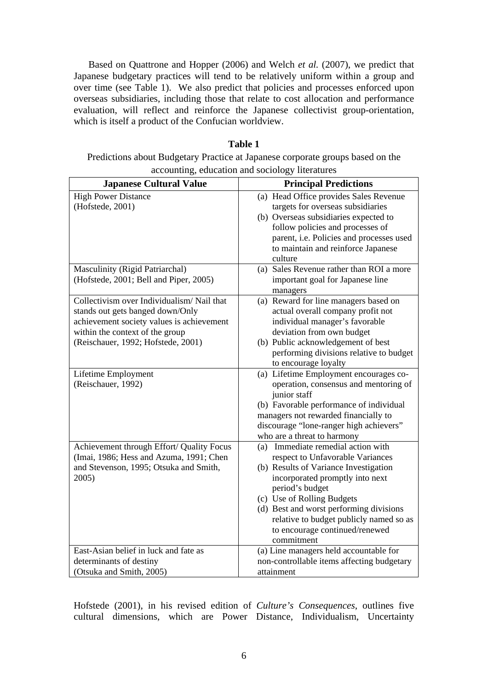Based on Quattrone and Hopper (2006) and Welch *et al.* (2007), we predict that Japanese budgetary practices will tend to be relatively uniform within a group and over time (see Table 1). We also predict that policies and processes enforced upon overseas subsidiaries, including those that relate to cost allocation and performance evaluation, will reflect and reinforce the Japanese collectivist group-orientation, which is itself a product of the Confucian worldview.

#### **Table 1**

Predictions about Budgetary Practice at Japanese corporate groups based on the accounting, education and sociology literatures

| <b>Japanese Cultural Value</b>            | $arccum, caucation and socrone, ruciaicio$<br><b>Principal Predictions</b> |
|-------------------------------------------|----------------------------------------------------------------------------|
| <b>High Power Distance</b>                | (a) Head Office provides Sales Revenue                                     |
| (Hofstede, 2001)                          | targets for overseas subsidiaries                                          |
|                                           | (b) Overseas subsidiaries expected to                                      |
|                                           | follow policies and processes of                                           |
|                                           | parent, i.e. Policies and processes used                                   |
|                                           | to maintain and reinforce Japanese                                         |
|                                           | culture                                                                    |
| <b>Masculinity (Rigid Patriarchal)</b>    | (a) Sales Revenue rather than ROI a more                                   |
| (Hofstede, 2001; Bell and Piper, 2005)    | important goal for Japanese line                                           |
|                                           | managers                                                                   |
| Collectivism over Individualism/Nail that | (a) Reward for line managers based on                                      |
| stands out gets banged down/Only          | actual overall company profit not                                          |
| achievement society values is achievement | individual manager's favorable                                             |
| within the context of the group           | deviation from own budget                                                  |
| (Reischauer, 1992; Hofstede, 2001)        | (b) Public acknowledgement of best                                         |
|                                           | performing divisions relative to budget                                    |
|                                           | to encourage loyalty                                                       |
| Lifetime Employment                       | (a) Lifetime Employment encourages co-                                     |
| (Reischauer, 1992)                        | operation, consensus and mentoring of                                      |
|                                           | junior staff                                                               |
|                                           | (b) Favorable performance of individual                                    |
|                                           | managers not rewarded financially to                                       |
|                                           | discourage "lone-ranger high achievers"                                    |
|                                           | who are a threat to harmony                                                |
| Achievement through Effort/ Quality Focus | (a) Immediate remedial action with                                         |
| (Imai, 1986; Hess and Azuma, 1991; Chen   | respect to Unfavorable Variances                                           |
| and Stevenson, 1995; Otsuka and Smith,    | (b) Results of Variance Investigation                                      |
| 2005)                                     | incorporated promptly into next                                            |
|                                           | period's budget                                                            |
|                                           | (c) Use of Rolling Budgets                                                 |
|                                           | (d) Best and worst performing divisions                                    |
|                                           | relative to budget publicly named so as                                    |
|                                           | to encourage continued/renewed<br>commitment                               |
| East-Asian belief in luck and fate as     | (a) Line managers held accountable for                                     |
| determinants of destiny                   | non-controllable items affecting budgetary                                 |
| (Otsuka and Smith, 2005)                  | attainment                                                                 |
|                                           |                                                                            |

Hofstede (2001), in his revised edition of *Culture's Consequences*, outlines five cultural dimensions, which are Power Distance, Individualism, Uncertainty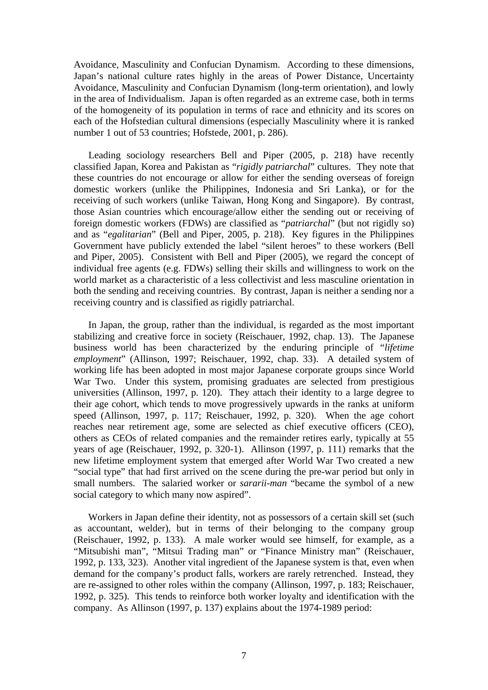Avoidance, Masculinity and Confucian Dynamism. According to these dimensions, Japan's national culture rates highly in the areas of Power Distance, Uncertainty Avoidance, Masculinity and Confucian Dynamism (long-term orientation), and lowly in the area of Individualism. Japan is often regarded as an extreme case, both in terms of the homogeneity of its population in terms of race and ethnicity and its scores on each of the Hofstedian cultural dimensions (especially Masculinity where it is ranked number 1 out of 53 countries; Hofstede, 2001, p. 286).

Leading sociology researchers Bell and Piper (2005, p. 218) have recently classified Japan, Korea and Pakistan as "*rigidly patriarchal*" cultures. They note that these countries do not encourage or allow for either the sending overseas of foreign domestic workers (unlike the Philippines, Indonesia and Sri Lanka), or for the receiving of such workers (unlike Taiwan, Hong Kong and Singapore). By contrast, those Asian countries which encourage/allow either the sending out or receiving of foreign domestic workers (FDWs) are classified as "*patriarchal*" (but not rigidly so) and as "*egalitarian*" (Bell and Piper, 2005, p. 218). Key figures in the Philippines Government have publicly extended the label "silent heroes" to these workers (Bell and Piper, 2005). Consistent with Bell and Piper (2005), we regard the concept of individual free agents (e.g. FDWs) selling their skills and willingness to work on the world market as a characteristic of a less collectivist and less masculine orientation in both the sending and receiving countries. By contrast, Japan is neither a sending nor a receiving country and is classified as rigidly patriarchal.

In Japan, the group, rather than the individual, is regarded as the most important stabilizing and creative force in society (Reischauer, 1992, chap. 13). The Japanese business world has been characterized by the enduring principle of "*lifetime employment*" (Allinson, 1997; Reischauer, 1992, chap. 33). A detailed system of working life has been adopted in most major Japanese corporate groups since World War Two. Under this system, promising graduates are selected from prestigious universities (Allinson, 1997, p. 120). They attach their identity to a large degree to their age cohort, which tends to move progressively upwards in the ranks at uniform speed (Allinson, 1997, p. 117; Reischauer, 1992, p. 320). When the age cohort reaches near retirement age, some are selected as chief executive officers (CEO), others as CEOs of related companies and the remainder retires early, typically at 55 years of age (Reischauer, 1992, p. 320-1). Allinson (1997, p. 111) remarks that the new lifetime employment system that emerged after World War Two created a new "social type" that had first arrived on the scene during the pre-war period but only in small numbers. The salaried worker or *sararii-man* "became the symbol of a new social category to which many now aspired".

Workers in Japan define their identity, not as possessors of a certain skill set (such as accountant, welder), but in terms of their belonging to the company group (Reischauer, 1992, p. 133). A male worker would see himself, for example, as a "Mitsubishi man", "Mitsui Trading man" or "Finance Ministry man" (Reischauer, 1992, p. 133, 323). Another vital ingredient of the Japanese system is that, even when demand for the company's product falls, workers are rarely retrenched. Instead, they are re-assigned to other roles within the company (Allinson, 1997, p. 183; Reischauer, 1992, p. 325). This tends to reinforce both worker loyalty and identification with the company. As Allinson (1997, p. 137) explains about the 1974-1989 period: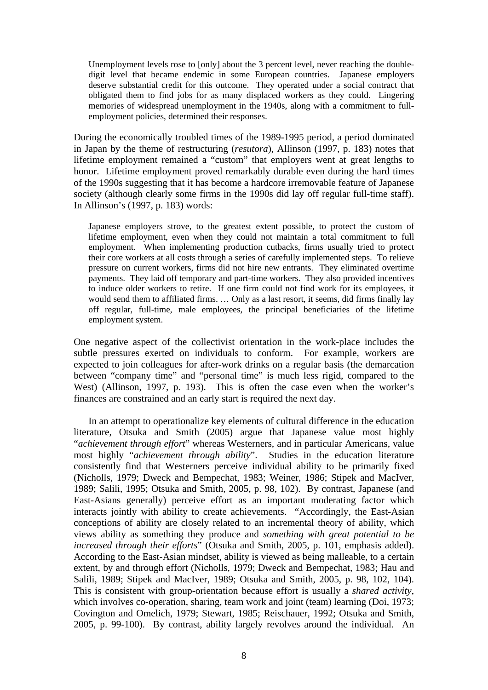Unemployment levels rose to [only] about the 3 percent level, never reaching the doubledigit level that became endemic in some European countries. Japanese employers deserve substantial credit for this outcome. They operated under a social contract that obligated them to find jobs for as many displaced workers as they could. Lingering memories of widespread unemployment in the 1940s, along with a commitment to fullemployment policies, determined their responses.

During the economically troubled times of the 1989-1995 period, a period dominated in Japan by the theme of restructuring (*resutora*), Allinson (1997, p. 183) notes that lifetime employment remained a "custom" that employers went at great lengths to honor. Lifetime employment proved remarkably durable even during the hard times of the 1990s suggesting that it has become a hardcore irremovable feature of Japanese society (although clearly some firms in the 1990s did lay off regular full-time staff). In Allinson's (1997, p. 183) words:

Japanese employers strove, to the greatest extent possible, to protect the custom of lifetime employment, even when they could not maintain a total commitment to full employment. When implementing production cutbacks, firms usually tried to protect their core workers at all costs through a series of carefully implemented steps. To relieve pressure on current workers, firms did not hire new entrants. They eliminated overtime payments. They laid off temporary and part-time workers. They also provided incentives to induce older workers to retire. If one firm could not find work for its employees, it would send them to affiliated firms. … Only as a last resort, it seems, did firms finally lay off regular, full-time, male employees, the principal beneficiaries of the lifetime employment system.

One negative aspect of the collectivist orientation in the work-place includes the subtle pressures exerted on individuals to conform. For example, workers are expected to join colleagues for after-work drinks on a regular basis (the demarcation between "company time" and "personal time" is much less rigid, compared to the West) (Allinson, 1997, p. 193). This is often the case even when the worker's finances are constrained and an early start is required the next day.

In an attempt to operationalize key elements of cultural difference in the education literature, Otsuka and Smith (2005) argue that Japanese value most highly "*achievement through effort*" whereas Westerners, and in particular Americans, value most highly "*achievement through ability*". Studies in the education literature consistently find that Westerners perceive individual ability to be primarily fixed (Nicholls, 1979; Dweck and Bempechat, 1983; Weiner, 1986; Stipek and MacIver, 1989; Salili, 1995; Otsuka and Smith, 2005, p. 98, 102). By contrast, Japanese (and East-Asians generally) perceive effort as an important moderating factor which interacts jointly with ability to create achievements. "Accordingly, the East-Asian conceptions of ability are closely related to an incremental theory of ability, which views ability as something they produce and *something with great potential to be increased through their efforts*" (Otsuka and Smith, 2005, p. 101, emphasis added). According to the East-Asian mindset, ability is viewed as being malleable, to a certain extent, by and through effort (Nicholls, 1979; Dweck and Bempechat, 1983; Hau and Salili, 1989; Stipek and MacIver, 1989; Otsuka and Smith, 2005, p. 98, 102, 104). This is consistent with group-orientation because effort is usually a *shared activity*, which involves co-operation, sharing, team work and joint (team) learning (Doi, 1973; Covington and Omelich, 1979; Stewart, 1985; Reischauer, 1992; Otsuka and Smith, 2005, p. 99-100). By contrast, ability largely revolves around the individual. An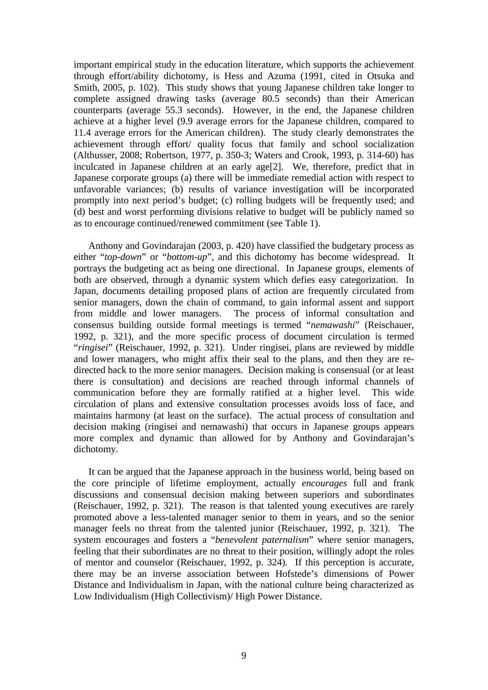important empirical study in the education literature, which supports the achievement through effort/ability dichotomy, is Hess and Azuma (1991, cited in Otsuka and Smith, 2005, p. 102). This study shows that young Japanese children take longer to complete assigned drawing tasks (average 80.5 seconds) than their American counterparts (average 55.3 seconds). However, in the end, the Japanese children achieve at a higher level (9.9 average errors for the Japanese children, compared to 11.4 average errors for the American children). The study clearly demonstrates the achievement through effort/ quality focus that family and school socialization (Althusser, 2008; Robertson, 1977, p. 350-3; Waters and Crook, 1993, p. 314-60) has inculcated in Japanese children at an early age[2]. We, therefore, predict that in Japanese corporate groups (a) there will be immediate remedial action with respect to unfavorable variances; (b) results of variance investigation will be incorporated promptly into next period's budget; (c) rolling budgets will be frequently used; and (d) best and worst performing divisions relative to budget will be publicly named so as to encourage continued/renewed commitment (see Table 1).

Anthony and Govindarajan (2003, p. 420) have classified the budgetary process as either "*top-down*" or "*bottom-up*", and this dichotomy has become widespread. It portrays the budgeting act as being one directional. In Japanese groups, elements of both are observed, through a dynamic system which defies easy categorization. In Japan, documents detailing proposed plans of action are frequently circulated from senior managers, down the chain of command, to gain informal assent and support from middle and lower managers. The process of informal consultation and consensus building outside formal meetings is termed "*nemawashi*" (Reischauer, 1992, p. 321), and the more specific process of document circulation is termed "*ringisei*" (Reischauer, 1992, p. 321). Under ringisei, plans are reviewed by middle and lower managers, who might affix their seal to the plans, and then they are redirected back to the more senior managers. Decision making is consensual (or at least there is consultation) and decisions are reached through informal channels of communication before they are formally ratified at a higher level. This wide circulation of plans and extensive consultation processes avoids loss of face, and maintains harmony (at least on the surface). The actual process of consultation and decision making (ringisei and nemawashi) that occurs in Japanese groups appears more complex and dynamic than allowed for by Anthony and Govindarajan's dichotomy.

It can be argued that the Japanese approach in the business world, being based on the core principle of lifetime employment, actually *encourages* full and frank discussions and consensual decision making between superiors and subordinates (Reischauer, 1992, p. 321). The reason is that talented young executives are rarely promoted above a less-talented manager senior to them in years, and so the senior manager feels no threat from the talented junior (Reischauer, 1992, p. 321). The system encourages and fosters a "*benevolent paternalism*" where senior managers, feeling that their subordinates are no threat to their position, willingly adopt the roles of mentor and counselor (Reischauer, 1992, p. 324). If this perception is accurate, there may be an inverse association between Hofstede's dimensions of Power Distance and Individualism in Japan, with the national culture being characterized as Low Individualism (High Collectivism)/ High Power Distance.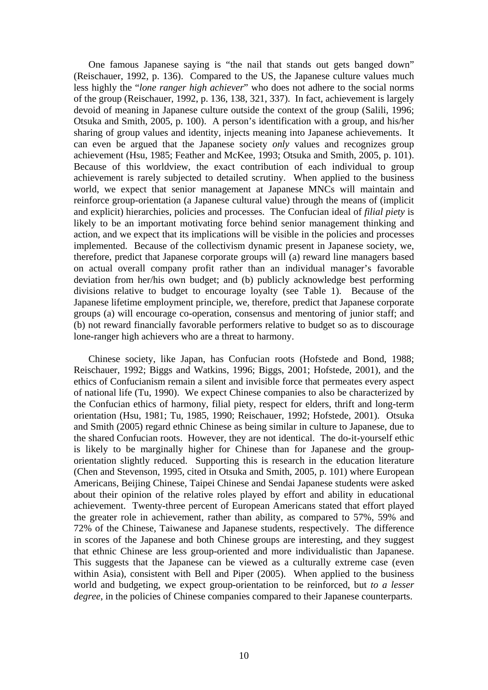One famous Japanese saying is "the nail that stands out gets banged down" (Reischauer, 1992, p. 136). Compared to the US, the Japanese culture values much less highly the "*lone ranger high achiever*" who does not adhere to the social norms of the group (Reischauer, 1992, p. 136, 138, 321, 337). In fact, achievement is largely devoid of meaning in Japanese culture outside the context of the group (Salili, 1996; Otsuka and Smith, 2005, p. 100). A person's identification with a group, and his/her sharing of group values and identity, injects meaning into Japanese achievements. It can even be argued that the Japanese society *only* values and recognizes group achievement (Hsu, 1985; Feather and McKee, 1993; Otsuka and Smith, 2005, p. 101). Because of this worldview, the exact contribution of each individual to group achievement is rarely subjected to detailed scrutiny. When applied to the business world, we expect that senior management at Japanese MNCs will maintain and reinforce group-orientation (a Japanese cultural value) through the means of (implicit and explicit) hierarchies, policies and processes. The Confucian ideal of *filial piety* is likely to be an important motivating force behind senior management thinking and action, and we expect that its implications will be visible in the policies and processes implemented. Because of the collectivism dynamic present in Japanese society, we, therefore, predict that Japanese corporate groups will (a) reward line managers based on actual overall company profit rather than an individual manager's favorable deviation from her/his own budget; and (b) publicly acknowledge best performing divisions relative to budget to encourage loyalty (see Table 1). Because of the Japanese lifetime employment principle, we, therefore, predict that Japanese corporate groups (a) will encourage co-operation, consensus and mentoring of junior staff; and (b) not reward financially favorable performers relative to budget so as to discourage lone-ranger high achievers who are a threat to harmony.

Chinese society, like Japan, has Confucian roots (Hofstede and Bond, 1988; Reischauer, 1992; Biggs and Watkins, 1996; Biggs, 2001; Hofstede, 2001), and the ethics of Confucianism remain a silent and invisible force that permeates every aspect of national life (Tu, 1990). We expect Chinese companies to also be characterized by the Confucian ethics of harmony, filial piety, respect for elders, thrift and long-term orientation (Hsu, 1981; Tu, 1985, 1990; Reischauer, 1992; Hofstede, 2001). Otsuka and Smith (2005) regard ethnic Chinese as being similar in culture to Japanese, due to the shared Confucian roots. However, they are not identical. The do-it-yourself ethic is likely to be marginally higher for Chinese than for Japanese and the grouporientation slightly reduced. Supporting this is research in the education literature (Chen and Stevenson, 1995, cited in Otsuka and Smith, 2005, p. 101) where European Americans, Beijing Chinese, Taipei Chinese and Sendai Japanese students were asked about their opinion of the relative roles played by effort and ability in educational achievement. Twenty-three percent of European Americans stated that effort played the greater role in achievement, rather than ability, as compared to 57%, 59% and 72% of the Chinese, Taiwanese and Japanese students, respectively. The difference in scores of the Japanese and both Chinese groups are interesting, and they suggest that ethnic Chinese are less group-oriented and more individualistic than Japanese. This suggests that the Japanese can be viewed as a culturally extreme case (even within Asia), consistent with Bell and Piper (2005). When applied to the business world and budgeting, we expect group-orientation to be reinforced, but *to a lesser degree*, in the policies of Chinese companies compared to their Japanese counterparts.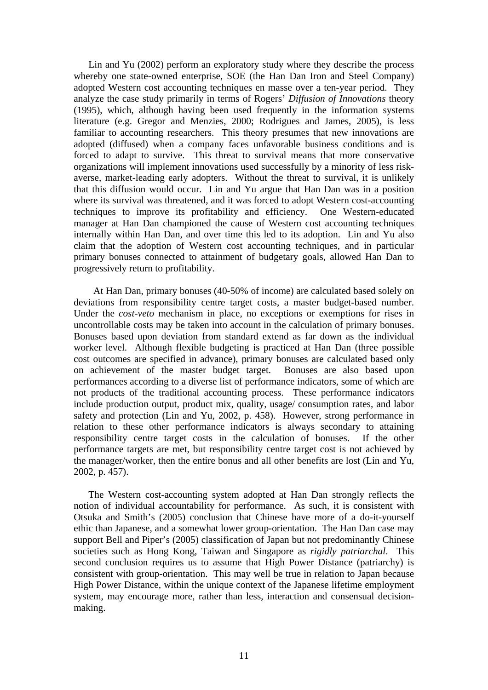Lin and Yu (2002) perform an exploratory study where they describe the process whereby one state-owned enterprise, SOE (the Han Dan Iron and Steel Company) adopted Western cost accounting techniques en masse over a ten-year period. They analyze the case study primarily in terms of Rogers' *Diffusion of Innovations* theory (1995), which, although having been used frequently in the information systems literature (e.g. Gregor and Menzies, 2000; Rodrigues and James, 2005), is less familiar to accounting researchers. This theory presumes that new innovations are adopted (diffused) when a company faces unfavorable business conditions and is forced to adapt to survive. This threat to survival means that more conservative organizations will implement innovations used successfully by a minority of less riskaverse, market-leading early adopters. Without the threat to survival, it is unlikely that this diffusion would occur. Lin and Yu argue that Han Dan was in a position where its survival was threatened, and it was forced to adopt Western cost-accounting techniques to improve its profitability and efficiency. One Western-educated manager at Han Dan championed the cause of Western cost accounting techniques internally within Han Dan, and over time this led to its adoption. Lin and Yu also claim that the adoption of Western cost accounting techniques, and in particular primary bonuses connected to attainment of budgetary goals, allowed Han Dan to progressively return to profitability.

 At Han Dan, primary bonuses (40-50% of income) are calculated based solely on deviations from responsibility centre target costs, a master budget-based number. Under the *cost-veto* mechanism in place, no exceptions or exemptions for rises in uncontrollable costs may be taken into account in the calculation of primary bonuses. Bonuses based upon deviation from standard extend as far down as the individual worker level. Although flexible budgeting is practiced at Han Dan (three possible cost outcomes are specified in advance), primary bonuses are calculated based only on achievement of the master budget target. Bonuses are also based upon performances according to a diverse list of performance indicators, some of which are not products of the traditional accounting process. These performance indicators include production output, product mix, quality, usage/ consumption rates, and labor safety and protection (Lin and Yu, 2002, p. 458). However, strong performance in relation to these other performance indicators is always secondary to attaining responsibility centre target costs in the calculation of bonuses. If the other performance targets are met, but responsibility centre target cost is not achieved by the manager/worker, then the entire bonus and all other benefits are lost (Lin and Yu, 2002, p. 457).

The Western cost-accounting system adopted at Han Dan strongly reflects the notion of individual accountability for performance. As such, it is consistent with Otsuka and Smith's (2005) conclusion that Chinese have more of a do-it-yourself ethic than Japanese, and a somewhat lower group-orientation. The Han Dan case may support Bell and Piper's (2005) classification of Japan but not predominantly Chinese societies such as Hong Kong, Taiwan and Singapore as *rigidly patriarchal*. This second conclusion requires us to assume that High Power Distance (patriarchy) is consistent with group-orientation. This may well be true in relation to Japan because High Power Distance, within the unique context of the Japanese lifetime employment system, may encourage more, rather than less, interaction and consensual decisionmaking.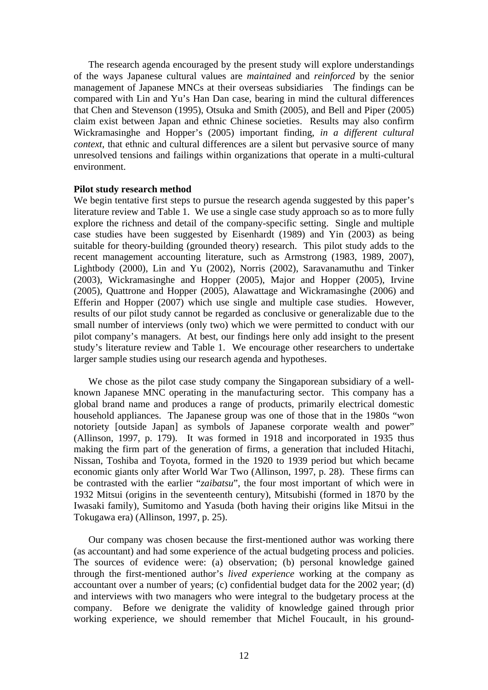The research agenda encouraged by the present study will explore understandings of the ways Japanese cultural values are *maintained* and *reinforced* by the senior management of Japanese MNCs at their overseas subsidiaries The findings can be compared with Lin and Yu's Han Dan case, bearing in mind the cultural differences that Chen and Stevenson (1995), Otsuka and Smith (2005), and Bell and Piper (2005) claim exist between Japan and ethnic Chinese societies. Results may also confirm Wickramasinghe and Hopper's (2005) important finding, *in a different cultural context*, that ethnic and cultural differences are a silent but pervasive source of many unresolved tensions and failings within organizations that operate in a multi-cultural environment.

#### **Pilot study research method**

We begin tentative first steps to pursue the research agenda suggested by this paper's literature review and Table 1. We use a single case study approach so as to more fully explore the richness and detail of the company-specific setting. Single and multiple case studies have been suggested by Eisenhardt (1989) and Yin (2003) as being suitable for theory-building (grounded theory) research. This pilot study adds to the recent management accounting literature, such as Armstrong (1983, 1989, 2007), Lightbody (2000), Lin and Yu (2002), Norris (2002), Saravanamuthu and Tinker (2003), Wickramasinghe and Hopper (2005), Major and Hopper (2005), Irvine (2005), Quattrone and Hopper (2005), Alawattage and Wickramasinghe (2006) and Efferin and Hopper (2007) which use single and multiple case studies. However, results of our pilot study cannot be regarded as conclusive or generalizable due to the small number of interviews (only two) which we were permitted to conduct with our pilot company's managers. At best, our findings here only add insight to the present study's literature review and Table 1. We encourage other researchers to undertake larger sample studies using our research agenda and hypotheses.

We chose as the pilot case study company the Singaporean subsidiary of a wellknown Japanese MNC operating in the manufacturing sector. This company has a global brand name and produces a range of products, primarily electrical domestic household appliances. The Japanese group was one of those that in the 1980s "won notoriety [outside Japan] as symbols of Japanese corporate wealth and power" (Allinson, 1997, p. 179). It was formed in 1918 and incorporated in 1935 thus making the firm part of the generation of firms, a generation that included Hitachi, Nissan, Toshiba and Toyota, formed in the 1920 to 1939 period but which became economic giants only after World War Two (Allinson, 1997, p. 28). These firms can be contrasted with the earlier "*zaibatsu*", the four most important of which were in 1932 Mitsui (origins in the seventeenth century), Mitsubishi (formed in 1870 by the Iwasaki family), Sumitomo and Yasuda (both having their origins like Mitsui in the Tokugawa era) (Allinson, 1997, p. 25).

Our company was chosen because the first-mentioned author was working there (as accountant) and had some experience of the actual budgeting process and policies. The sources of evidence were: (a) observation; (b) personal knowledge gained through the first-mentioned author's *lived experience* working at the company as accountant over a number of years; (c) confidential budget data for the 2002 year; (d) and interviews with two managers who were integral to the budgetary process at the company. Before we denigrate the validity of knowledge gained through prior working experience, we should remember that Michel Foucault, in his ground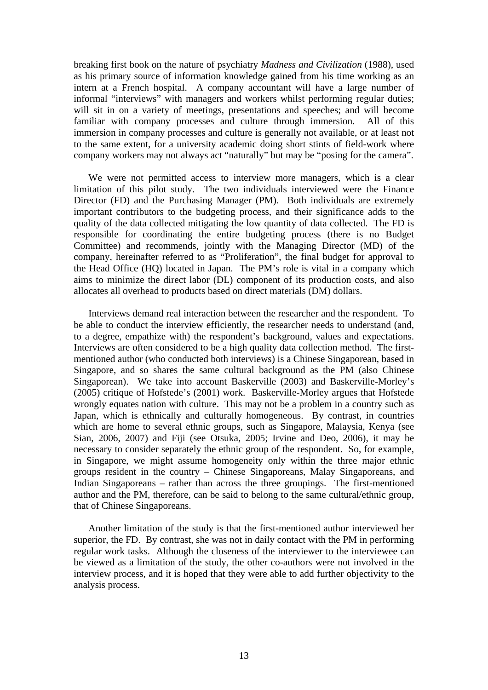breaking first book on the nature of psychiatry *Madness and Civilization* (1988), used as his primary source of information knowledge gained from his time working as an intern at a French hospital. A company accountant will have a large number of informal "interviews" with managers and workers whilst performing regular duties; will sit in on a variety of meetings, presentations and speeches; and will become familiar with company processes and culture through immersion. All of this immersion in company processes and culture is generally not available, or at least not to the same extent, for a university academic doing short stints of field-work where company workers may not always act "naturally" but may be "posing for the camera".

We were not permitted access to interview more managers, which is a clear limitation of this pilot study. The two individuals interviewed were the Finance Director (FD) and the Purchasing Manager (PM). Both individuals are extremely important contributors to the budgeting process, and their significance adds to the quality of the data collected mitigating the low quantity of data collected. The FD is responsible for coordinating the entire budgeting process (there is no Budget Committee) and recommends, jointly with the Managing Director (MD) of the company, hereinafter referred to as "Proliferation", the final budget for approval to the Head Office (HQ) located in Japan. The PM's role is vital in a company which aims to minimize the direct labor (DL) component of its production costs, and also allocates all overhead to products based on direct materials (DM) dollars.

Interviews demand real interaction between the researcher and the respondent. To be able to conduct the interview efficiently, the researcher needs to understand (and, to a degree, empathize with) the respondent's background, values and expectations. Interviews are often considered to be a high quality data collection method. The firstmentioned author (who conducted both interviews) is a Chinese Singaporean, based in Singapore, and so shares the same cultural background as the PM (also Chinese Singaporean). We take into account Baskerville (2003) and Baskerville-Morley's (2005) critique of Hofstede's (2001) work. Baskerville-Morley argues that Hofstede wrongly equates nation with culture. This may not be a problem in a country such as Japan, which is ethnically and culturally homogeneous. By contrast, in countries which are home to several ethnic groups, such as Singapore, Malaysia, Kenya (see Sian, 2006, 2007) and Fiji (see Otsuka, 2005; Irvine and Deo, 2006), it may be necessary to consider separately the ethnic group of the respondent. So, for example, in Singapore, we might assume homogeneity only within the three major ethnic groups resident in the country – Chinese Singaporeans, Malay Singaporeans, and Indian Singaporeans – rather than across the three groupings. The first-mentioned author and the PM, therefore, can be said to belong to the same cultural/ethnic group, that of Chinese Singaporeans.

Another limitation of the study is that the first-mentioned author interviewed her superior, the FD. By contrast, she was not in daily contact with the PM in performing regular work tasks. Although the closeness of the interviewer to the interviewee can be viewed as a limitation of the study, the other co-authors were not involved in the interview process, and it is hoped that they were able to add further objectivity to the analysis process.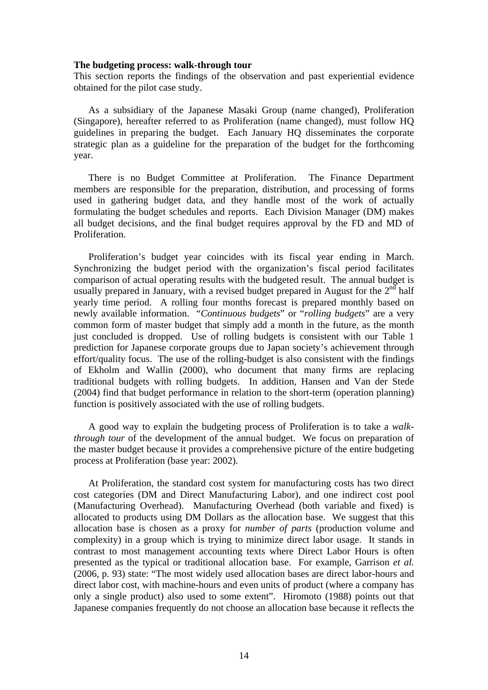#### **The budgeting process: walk-through tour**

This section reports the findings of the observation and past experiential evidence obtained for the pilot case study.

As a subsidiary of the Japanese Masaki Group (name changed), Proliferation (Singapore), hereafter referred to as Proliferation (name changed), must follow HQ guidelines in preparing the budget. Each January HQ disseminates the corporate strategic plan as a guideline for the preparation of the budget for the forthcoming year.

There is no Budget Committee at Proliferation. The Finance Department members are responsible for the preparation, distribution, and processing of forms used in gathering budget data, and they handle most of the work of actually formulating the budget schedules and reports. Each Division Manager (DM) makes all budget decisions, and the final budget requires approval by the FD and MD of Proliferation.

Proliferation's budget year coincides with its fiscal year ending in March. Synchronizing the budget period with the organization's fiscal period facilitates comparison of actual operating results with the budgeted result. The annual budget is usually prepared in January, with a revised budget prepared in August for the  $2<sup>nd</sup>$  half yearly time period. A rolling four months forecast is prepared monthly based on newly available information. "*Continuous budgets*" or "*rolling budgets*" are a very common form of master budget that simply add a month in the future, as the month just concluded is dropped. Use of rolling budgets is consistent with our Table 1 prediction for Japanese corporate groups due to Japan society's achievement through effort/quality focus. The use of the rolling-budget is also consistent with the findings of Ekholm and Wallin (2000), who document that many firms are replacing traditional budgets with rolling budgets. In addition, Hansen and Van der Stede (2004) find that budget performance in relation to the short-term (operation planning) function is positively associated with the use of rolling budgets.

A good way to explain the budgeting process of Proliferation is to take a *walkthrough tour* of the development of the annual budget. We focus on preparation of the master budget because it provides a comprehensive picture of the entire budgeting process at Proliferation (base year: 2002).

At Proliferation, the standard cost system for manufacturing costs has two direct cost categories (DM and Direct Manufacturing Labor), and one indirect cost pool (Manufacturing Overhead). Manufacturing Overhead (both variable and fixed) is allocated to products using DM Dollars as the allocation base. We suggest that this allocation base is chosen as a proxy for *number of parts* (production volume and complexity) in a group which is trying to minimize direct labor usage. It stands in contrast to most management accounting texts where Direct Labor Hours is often presented as the typical or traditional allocation base. For example, Garrison *et al.* (2006, p. 93) state: "The most widely used allocation bases are direct labor-hours and direct labor cost, with machine-hours and even units of product (where a company has only a single product) also used to some extent". Hiromoto (1988) points out that Japanese companies frequently do not choose an allocation base because it reflects the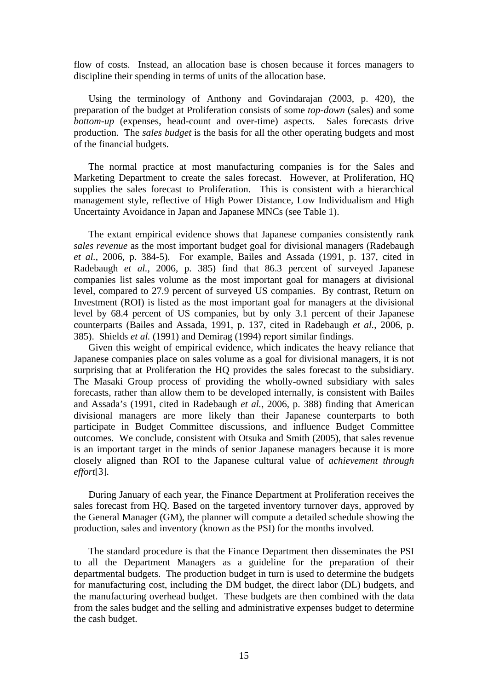flow of costs. Instead, an allocation base is chosen because it forces managers to discipline their spending in terms of units of the allocation base.

Using the terminology of Anthony and Govindarajan (2003, p. 420), the preparation of the budget at Proliferation consists of some *top-down* (sales) and some *bottom-up* (expenses, head-count and over-time) aspects. Sales forecasts drive production. The *sales budget* is the basis for all the other operating budgets and most of the financial budgets.

The normal practice at most manufacturing companies is for the Sales and Marketing Department to create the sales forecast. However, at Proliferation, HQ supplies the sales forecast to Proliferation. This is consistent with a hierarchical management style, reflective of High Power Distance, Low Individualism and High Uncertainty Avoidance in Japan and Japanese MNCs (see Table 1).

The extant empirical evidence shows that Japanese companies consistently rank *sales revenue* as the most important budget goal for divisional managers (Radebaugh *et al.*, 2006, p. 384-5). For example, Bailes and Assada (1991, p. 137, cited in Radebaugh *et al.*, 2006, p. 385) find that 86.3 percent of surveyed Japanese companies list sales volume as the most important goal for managers at divisional level, compared to 27.9 percent of surveyed US companies. By contrast, Return on Investment (ROI) is listed as the most important goal for managers at the divisional level by 68.4 percent of US companies, but by only 3.1 percent of their Japanese counterparts (Bailes and Assada, 1991, p. 137, cited in Radebaugh *et al.*, 2006, p. 385). Shields *et al.* (1991) and Demirag (1994) report similar findings.

Given this weight of empirical evidence, which indicates the heavy reliance that Japanese companies place on sales volume as a goal for divisional managers, it is not surprising that at Proliferation the HQ provides the sales forecast to the subsidiary. The Masaki Group process of providing the wholly-owned subsidiary with sales forecasts, rather than allow them to be developed internally, is consistent with Bailes and Assada's (1991, cited in Radebaugh *et al.*, 2006, p. 388) finding that American divisional managers are more likely than their Japanese counterparts to both participate in Budget Committee discussions, and influence Budget Committee outcomes. We conclude, consistent with Otsuka and Smith (2005), that sales revenue is an important target in the minds of senior Japanese managers because it is more closely aligned than ROI to the Japanese cultural value of *achievement through effort*[3].

During January of each year, the Finance Department at Proliferation receives the sales forecast from HQ. Based on the targeted inventory turnover days, approved by the General Manager (GM), the planner will compute a detailed schedule showing the production, sales and inventory (known as the PSI) for the months involved.

The standard procedure is that the Finance Department then disseminates the PSI to all the Department Managers as a guideline for the preparation of their departmental budgets. The production budget in turn is used to determine the budgets for manufacturing cost, including the DM budget, the direct labor (DL) budgets, and the manufacturing overhead budget. These budgets are then combined with the data from the sales budget and the selling and administrative expenses budget to determine the cash budget.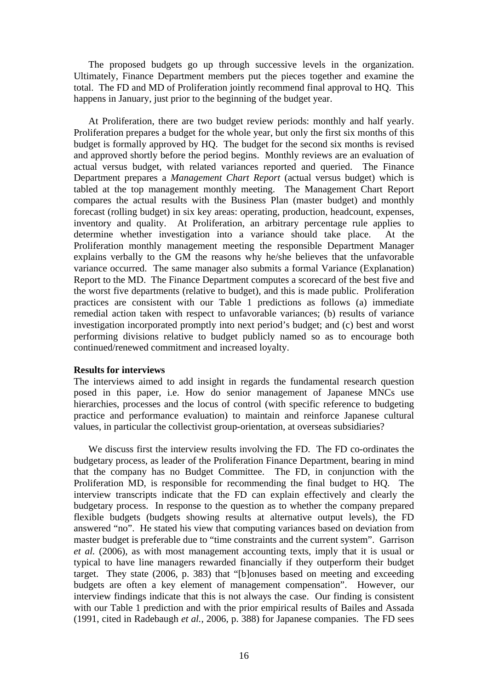The proposed budgets go up through successive levels in the organization. Ultimately, Finance Department members put the pieces together and examine the total. The FD and MD of Proliferation jointly recommend final approval to HQ. This happens in January, just prior to the beginning of the budget year.

At Proliferation, there are two budget review periods: monthly and half yearly. Proliferation prepares a budget for the whole year, but only the first six months of this budget is formally approved by HQ. The budget for the second six months is revised and approved shortly before the period begins. Monthly reviews are an evaluation of actual versus budget, with related variances reported and queried. The Finance Department prepares a *Management Chart Report* (actual versus budget) which is tabled at the top management monthly meeting. The Management Chart Report compares the actual results with the Business Plan (master budget) and monthly forecast (rolling budget) in six key areas: operating, production, headcount, expenses, inventory and quality. At Proliferation, an arbitrary percentage rule applies to determine whether investigation into a variance should take place. At the Proliferation monthly management meeting the responsible Department Manager explains verbally to the GM the reasons why he/she believes that the unfavorable variance occurred. The same manager also submits a formal Variance (Explanation) Report to the MD. The Finance Department computes a scorecard of the best five and the worst five departments (relative to budget), and this is made public. Proliferation practices are consistent with our Table 1 predictions as follows (a) immediate remedial action taken with respect to unfavorable variances; (b) results of variance investigation incorporated promptly into next period's budget; and (c) best and worst performing divisions relative to budget publicly named so as to encourage both continued/renewed commitment and increased loyalty.

#### **Results for interviews**

The interviews aimed to add insight in regards the fundamental research question posed in this paper, i.e. How do senior management of Japanese MNCs use hierarchies, processes and the locus of control (with specific reference to budgeting practice and performance evaluation) to maintain and reinforce Japanese cultural values, in particular the collectivist group-orientation, at overseas subsidiaries?

We discuss first the interview results involving the FD. The FD co-ordinates the budgetary process, as leader of the Proliferation Finance Department, bearing in mind that the company has no Budget Committee. The FD, in conjunction with the Proliferation MD, is responsible for recommending the final budget to HQ. The interview transcripts indicate that the FD can explain effectively and clearly the budgetary process. In response to the question as to whether the company prepared flexible budgets (budgets showing results at alternative output levels), the FD answered "no". He stated his view that computing variances based on deviation from master budget is preferable due to "time constraints and the current system". Garrison *et al.* (2006), as with most management accounting texts, imply that it is usual or typical to have line managers rewarded financially if they outperform their budget target. They state (2006, p. 383) that "[b]onuses based on meeting and exceeding budgets are often a key element of management compensation". However, our interview findings indicate that this is not always the case. Our finding is consistent with our Table 1 prediction and with the prior empirical results of Bailes and Assada (1991, cited in Radebaugh *et al.*, 2006, p. 388) for Japanese companies. The FD sees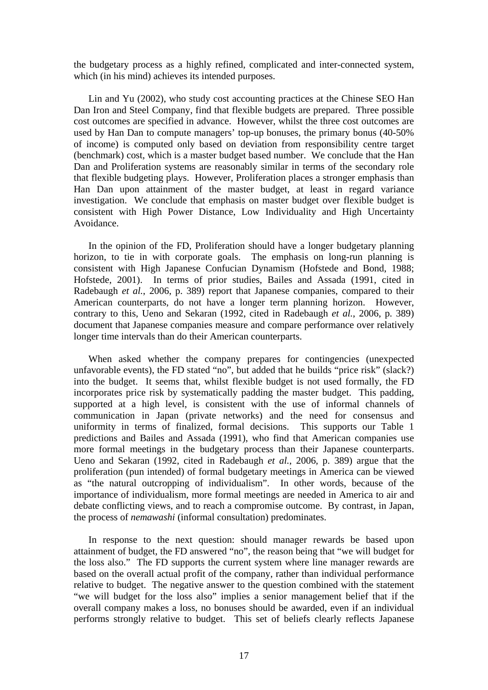the budgetary process as a highly refined, complicated and inter-connected system, which (in his mind) achieves its intended purposes.

Lin and Yu (2002), who study cost accounting practices at the Chinese SEO Han Dan Iron and Steel Company, find that flexible budgets are prepared. Three possible cost outcomes are specified in advance. However, whilst the three cost outcomes are used by Han Dan to compute managers' top-up bonuses, the primary bonus (40-50% of income) is computed only based on deviation from responsibility centre target (benchmark) cost, which is a master budget based number. We conclude that the Han Dan and Proliferation systems are reasonably similar in terms of the secondary role that flexible budgeting plays. However, Proliferation places a stronger emphasis than Han Dan upon attainment of the master budget, at least in regard variance investigation. We conclude that emphasis on master budget over flexible budget is consistent with High Power Distance, Low Individuality and High Uncertainty Avoidance.

In the opinion of the FD, Proliferation should have a longer budgetary planning horizon, to tie in with corporate goals. The emphasis on long-run planning is consistent with High Japanese Confucian Dynamism (Hofstede and Bond, 1988; Hofstede, 2001). In terms of prior studies, Bailes and Assada (1991, cited in Radebaugh *et al.*, 2006, p. 389) report that Japanese companies, compared to their American counterparts, do not have a longer term planning horizon. However, contrary to this, Ueno and Sekaran (1992, cited in Radebaugh *et al.*, 2006, p. 389) document that Japanese companies measure and compare performance over relatively longer time intervals than do their American counterparts.

When asked whether the company prepares for contingencies (unexpected unfavorable events), the FD stated "no", but added that he builds "price risk" (slack?) into the budget. It seems that, whilst flexible budget is not used formally, the FD incorporates price risk by systematically padding the master budget. This padding, supported at a high level, is consistent with the use of informal channels of communication in Japan (private networks) and the need for consensus and uniformity in terms of finalized, formal decisions. This supports our Table 1 predictions and Bailes and Assada (1991), who find that American companies use more formal meetings in the budgetary process than their Japanese counterparts. Ueno and Sekaran (1992, cited in Radebaugh *et al.*, 2006, p. 389) argue that the proliferation (pun intended) of formal budgetary meetings in America can be viewed as "the natural outcropping of individualism". In other words, because of the importance of individualism, more formal meetings are needed in America to air and debate conflicting views, and to reach a compromise outcome. By contrast, in Japan, the process of *nemawashi* (informal consultation) predominates.

In response to the next question: should manager rewards be based upon attainment of budget, the FD answered "no", the reason being that "we will budget for the loss also." The FD supports the current system where line manager rewards are based on the overall actual profit of the company, rather than individual performance relative to budget. The negative answer to the question combined with the statement "we will budget for the loss also" implies a senior management belief that if the overall company makes a loss, no bonuses should be awarded, even if an individual performs strongly relative to budget. This set of beliefs clearly reflects Japanese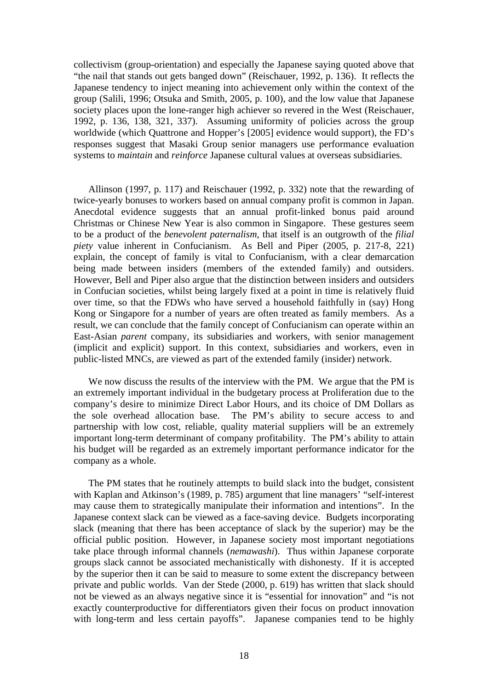collectivism (group-orientation) and especially the Japanese saying quoted above that "the nail that stands out gets banged down" (Reischauer, 1992, p. 136). It reflects the Japanese tendency to inject meaning into achievement only within the context of the group (Salili, 1996; Otsuka and Smith, 2005, p. 100), and the low value that Japanese society places upon the lone-ranger high achiever so revered in the West (Reischauer, 1992, p. 136, 138, 321, 337). Assuming uniformity of policies across the group worldwide (which Quattrone and Hopper's [2005] evidence would support), the FD's responses suggest that Masaki Group senior managers use performance evaluation systems to *maintain* and *reinforce* Japanese cultural values at overseas subsidiaries.

Allinson (1997, p. 117) and Reischauer (1992, p. 332) note that the rewarding of twice-yearly bonuses to workers based on annual company profit is common in Japan. Anecdotal evidence suggests that an annual profit-linked bonus paid around Christmas or Chinese New Year is also common in Singapore. These gestures seem to be a product of the *benevolent paternalism*, that itself is an outgrowth of the *filial piety* value inherent in Confucianism. As Bell and Piper (2005, p. 217-8, 221) explain, the concept of family is vital to Confucianism, with a clear demarcation being made between insiders (members of the extended family) and outsiders. However, Bell and Piper also argue that the distinction between insiders and outsiders in Confucian societies, whilst being largely fixed at a point in time is relatively fluid over time, so that the FDWs who have served a household faithfully in (say) Hong Kong or Singapore for a number of years are often treated as family members. As a result, we can conclude that the family concept of Confucianism can operate within an East-Asian *parent* company, its subsidiaries and workers, with senior management (implicit and explicit) support. In this context, subsidiaries and workers, even in public-listed MNCs, are viewed as part of the extended family (insider) network.

We now discuss the results of the interview with the PM. We argue that the PM is an extremely important individual in the budgetary process at Proliferation due to the company's desire to minimize Direct Labor Hours, and its choice of DM Dollars as the sole overhead allocation base. The PM's ability to secure access to and partnership with low cost, reliable, quality material suppliers will be an extremely important long-term determinant of company profitability. The PM's ability to attain his budget will be regarded as an extremely important performance indicator for the company as a whole.

The PM states that he routinely attempts to build slack into the budget, consistent with Kaplan and Atkinson's (1989, p. 785) argument that line managers' "self-interest may cause them to strategically manipulate their information and intentions". In the Japanese context slack can be viewed as a face-saving device. Budgets incorporating slack (meaning that there has been acceptance of slack by the superior) may be the official public position. However, in Japanese society most important negotiations take place through informal channels (*nemawashi*). Thus within Japanese corporate groups slack cannot be associated mechanistically with dishonesty. If it is accepted by the superior then it can be said to measure to some extent the discrepancy between private and public worlds. Van der Stede (2000, p. 619) has written that slack should not be viewed as an always negative since it is "essential for innovation" and "is not exactly counterproductive for differentiators given their focus on product innovation with long-term and less certain payoffs". Japanese companies tend to be highly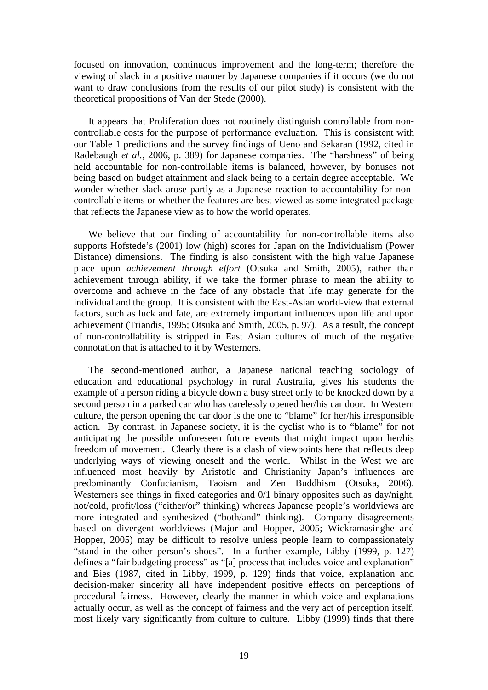focused on innovation, continuous improvement and the long-term; therefore the viewing of slack in a positive manner by Japanese companies if it occurs (we do not want to draw conclusions from the results of our pilot study) is consistent with the theoretical propositions of Van der Stede (2000).

It appears that Proliferation does not routinely distinguish controllable from noncontrollable costs for the purpose of performance evaluation. This is consistent with our Table 1 predictions and the survey findings of Ueno and Sekaran (1992, cited in Radebaugh *et al.*, 2006, p. 389) for Japanese companies. The "harshness" of being held accountable for non-controllable items is balanced, however, by bonuses not being based on budget attainment and slack being to a certain degree acceptable. We wonder whether slack arose partly as a Japanese reaction to accountability for noncontrollable items or whether the features are best viewed as some integrated package that reflects the Japanese view as to how the world operates.

We believe that our finding of accountability for non-controllable items also supports Hofstede's (2001) low (high) scores for Japan on the Individualism (Power Distance) dimensions. The finding is also consistent with the high value Japanese place upon *achievement through effort* (Otsuka and Smith, 2005), rather than achievement through ability, if we take the former phrase to mean the ability to overcome and achieve in the face of any obstacle that life may generate for the individual and the group. It is consistent with the East-Asian world-view that external factors, such as luck and fate, are extremely important influences upon life and upon achievement (Triandis, 1995; Otsuka and Smith, 2005, p. 97). As a result, the concept of non-controllability is stripped in East Asian cultures of much of the negative connotation that is attached to it by Westerners.

The second-mentioned author, a Japanese national teaching sociology of education and educational psychology in rural Australia, gives his students the example of a person riding a bicycle down a busy street only to be knocked down by a second person in a parked car who has carelessly opened her/his car door. In Western culture, the person opening the car door is the one to "blame" for her/his irresponsible action. By contrast, in Japanese society, it is the cyclist who is to "blame" for not anticipating the possible unforeseen future events that might impact upon her/his freedom of movement. Clearly there is a clash of viewpoints here that reflects deep underlying ways of viewing oneself and the world. Whilst in the West we are influenced most heavily by Aristotle and Christianity Japan's influences are predominantly Confucianism, Taoism and Zen Buddhism (Otsuka, 2006). Westerners see things in fixed categories and 0/1 binary opposites such as day/night, hot/cold, profit/loss ("either/or" thinking) whereas Japanese people's worldviews are more integrated and synthesized ("both/and" thinking). Company disagreements based on divergent worldviews (Major and Hopper, 2005; Wickramasinghe and Hopper, 2005) may be difficult to resolve unless people learn to compassionately "stand in the other person's shoes". In a further example, Libby (1999, p. 127) defines a "fair budgeting process" as "[a] process that includes voice and explanation" and Bies (1987, cited in Libby, 1999, p. 129) finds that voice, explanation and decision-maker sincerity all have independent positive effects on perceptions of procedural fairness. However, clearly the manner in which voice and explanations actually occur, as well as the concept of fairness and the very act of perception itself, most likely vary significantly from culture to culture. Libby (1999) finds that there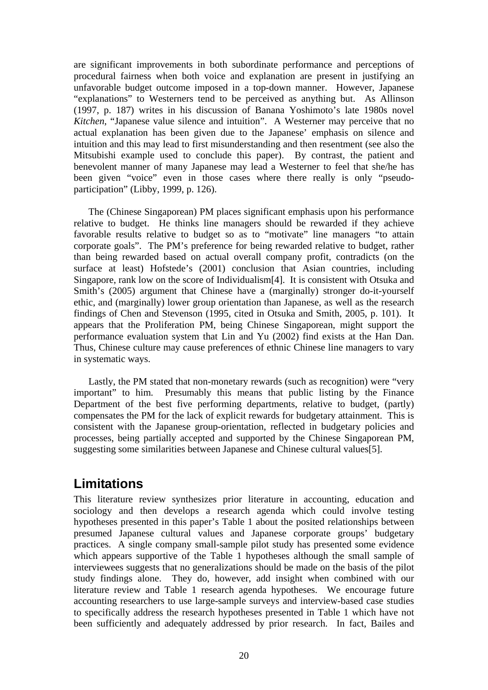are significant improvements in both subordinate performance and perceptions of procedural fairness when both voice and explanation are present in justifying an unfavorable budget outcome imposed in a top-down manner. However, Japanese "explanations" to Westerners tend to be perceived as anything but. As Allinson (1997, p. 187) writes in his discussion of Banana Yoshimoto's late 1980s novel *Kitchen*, "Japanese value silence and intuition". A Westerner may perceive that no actual explanation has been given due to the Japanese' emphasis on silence and intuition and this may lead to first misunderstanding and then resentment (see also the Mitsubishi example used to conclude this paper). By contrast, the patient and benevolent manner of many Japanese may lead a Westerner to feel that she/he has been given "voice" even in those cases where there really is only "pseudoparticipation" (Libby, 1999, p. 126).

The (Chinese Singaporean) PM places significant emphasis upon his performance relative to budget. He thinks line managers should be rewarded if they achieve favorable results relative to budget so as to "motivate" line managers "to attain corporate goals". The PM's preference for being rewarded relative to budget, rather than being rewarded based on actual overall company profit, contradicts (on the surface at least) Hofstede's (2001) conclusion that Asian countries, including Singapore, rank low on the score of Individualism[4]. It is consistent with Otsuka and Smith's (2005) argument that Chinese have a (marginally) stronger do-it-yourself ethic, and (marginally) lower group orientation than Japanese, as well as the research findings of Chen and Stevenson (1995, cited in Otsuka and Smith, 2005, p. 101). It appears that the Proliferation PM, being Chinese Singaporean, might support the performance evaluation system that Lin and Yu (2002) find exists at the Han Dan. Thus, Chinese culture may cause preferences of ethnic Chinese line managers to vary in systematic ways.

Lastly, the PM stated that non-monetary rewards (such as recognition) were "very important" to him. Presumably this means that public listing by the Finance Department of the best five performing departments, relative to budget, (partly) compensates the PM for the lack of explicit rewards for budgetary attainment. This is consistent with the Japanese group-orientation, reflected in budgetary policies and processes, being partially accepted and supported by the Chinese Singaporean PM, suggesting some similarities between Japanese and Chinese cultural values[5].

# **Limitations**

This literature review synthesizes prior literature in accounting, education and sociology and then develops a research agenda which could involve testing hypotheses presented in this paper's Table 1 about the posited relationships between presumed Japanese cultural values and Japanese corporate groups' budgetary practices. A single company small-sample pilot study has presented some evidence which appears supportive of the Table 1 hypotheses although the small sample of interviewees suggests that no generalizations should be made on the basis of the pilot study findings alone. They do, however, add insight when combined with our literature review and Table 1 research agenda hypotheses. We encourage future accounting researchers to use large-sample surveys and interview-based case studies to specifically address the research hypotheses presented in Table 1 which have not been sufficiently and adequately addressed by prior research. In fact, Bailes and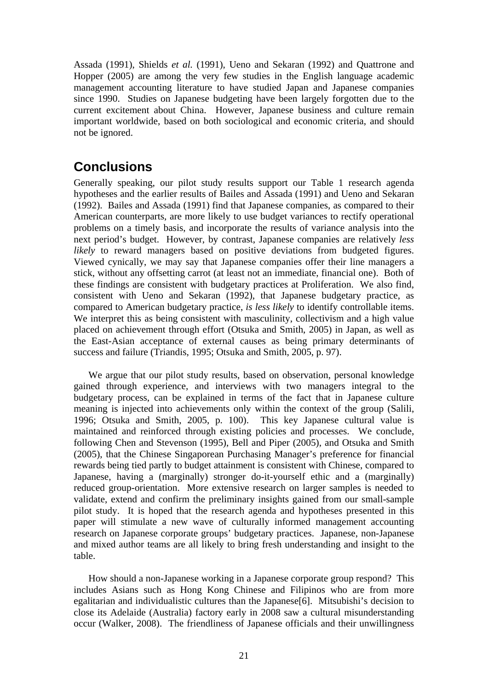Assada (1991), Shields *et al.* (1991), Ueno and Sekaran (1992) and Quattrone and Hopper (2005) are among the very few studies in the English language academic management accounting literature to have studied Japan and Japanese companies since 1990. Studies on Japanese budgeting have been largely forgotten due to the current excitement about China. However, Japanese business and culture remain important worldwide, based on both sociological and economic criteria, and should not be ignored.

### **Conclusions**

Generally speaking, our pilot study results support our Table 1 research agenda hypotheses and the earlier results of Bailes and Assada (1991) and Ueno and Sekaran (1992). Bailes and Assada (1991) find that Japanese companies, as compared to their American counterparts, are more likely to use budget variances to rectify operational problems on a timely basis, and incorporate the results of variance analysis into the next period's budget. However, by contrast, Japanese companies are relatively *less likely* to reward managers based on positive deviations from budgeted figures. Viewed cynically, we may say that Japanese companies offer their line managers a stick, without any offsetting carrot (at least not an immediate, financial one). Both of these findings are consistent with budgetary practices at Proliferation. We also find, consistent with Ueno and Sekaran (1992), that Japanese budgetary practice, as compared to American budgetary practice, *is less likely* to identify controllable items. We interpret this as being consistent with masculinity, collectivism and a high value placed on achievement through effort (Otsuka and Smith, 2005) in Japan, as well as the East-Asian acceptance of external causes as being primary determinants of success and failure (Triandis, 1995; Otsuka and Smith, 2005, p. 97).

We argue that our pilot study results, based on observation, personal knowledge gained through experience, and interviews with two managers integral to the budgetary process, can be explained in terms of the fact that in Japanese culture meaning is injected into achievements only within the context of the group (Salili, 1996; Otsuka and Smith, 2005, p. 100). This key Japanese cultural value is maintained and reinforced through existing policies and processes. We conclude, following Chen and Stevenson (1995), Bell and Piper (2005), and Otsuka and Smith (2005), that the Chinese Singaporean Purchasing Manager's preference for financial rewards being tied partly to budget attainment is consistent with Chinese, compared to Japanese, having a (marginally) stronger do-it-yourself ethic and a (marginally) reduced group-orientation. More extensive research on larger samples is needed to validate, extend and confirm the preliminary insights gained from our small-sample pilot study. It is hoped that the research agenda and hypotheses presented in this paper will stimulate a new wave of culturally informed management accounting research on Japanese corporate groups' budgetary practices. Japanese, non-Japanese and mixed author teams are all likely to bring fresh understanding and insight to the table.

How should a non-Japanese working in a Japanese corporate group respond? This includes Asians such as Hong Kong Chinese and Filipinos who are from more egalitarian and individualistic cultures than the Japanese[6]. Mitsubishi's decision to close its Adelaide (Australia) factory early in 2008 saw a cultural misunderstanding occur (Walker, 2008). The friendliness of Japanese officials and their unwillingness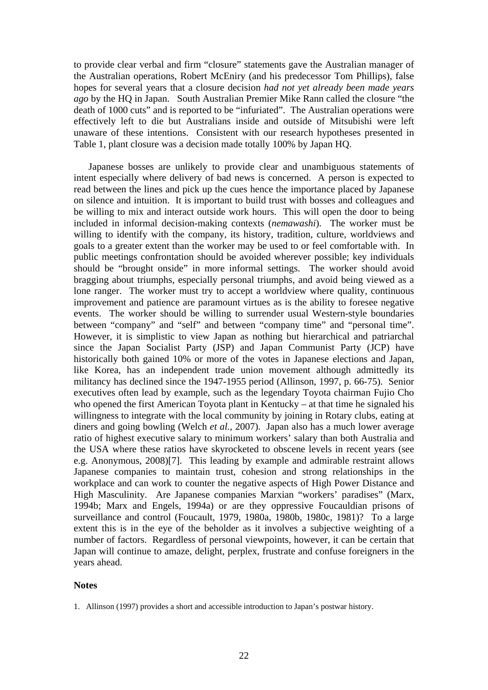to provide clear verbal and firm "closure" statements gave the Australian manager of the Australian operations, Robert McEniry (and his predecessor Tom Phillips), false hopes for several years that a closure decision *had not yet already been made years ago* by the HQ in Japan. South Australian Premier Mike Rann called the closure "the death of 1000 cuts" and is reported to be "infuriated". The Australian operations were effectively left to die but Australians inside and outside of Mitsubishi were left unaware of these intentions. Consistent with our research hypotheses presented in Table 1, plant closure was a decision made totally 100% by Japan HQ.

Japanese bosses are unlikely to provide clear and unambiguous statements of intent especially where delivery of bad news is concerned. A person is expected to read between the lines and pick up the cues hence the importance placed by Japanese on silence and intuition. It is important to build trust with bosses and colleagues and be willing to mix and interact outside work hours. This will open the door to being included in informal decision-making contexts (*nemawashi*). The worker must be willing to identify with the company, its history, tradition, culture, worldviews and goals to a greater extent than the worker may be used to or feel comfortable with. In public meetings confrontation should be avoided wherever possible; key individuals should be "brought onside" in more informal settings. The worker should avoid bragging about triumphs, especially personal triumphs, and avoid being viewed as a lone ranger. The worker must try to accept a worldview where quality, continuous improvement and patience are paramount virtues as is the ability to foresee negative events. The worker should be willing to surrender usual Western-style boundaries between "company" and "self" and between "company time" and "personal time". However, it is simplistic to view Japan as nothing but hierarchical and patriarchal since the Japan Socialist Party (JSP) and Japan Communist Party (JCP) have historically both gained 10% or more of the votes in Japanese elections and Japan, like Korea, has an independent trade union movement although admittedly its militancy has declined since the 1947-1955 period (Allinson, 1997, p. 66-75). Senior executives often lead by example, such as the legendary Toyota chairman Fujio Cho who opened the first American Toyota plant in Kentucky – at that time he signaled his willingness to integrate with the local community by joining in Rotary clubs, eating at diners and going bowling (Welch *et al.*, 2007). Japan also has a much lower average ratio of highest executive salary to minimum workers' salary than both Australia and the USA where these ratios have skyrocketed to obscene levels in recent years (see e.g. Anonymous, 2008)[7]. This leading by example and admirable restraint allows Japanese companies to maintain trust, cohesion and strong relationships in the workplace and can work to counter the negative aspects of High Power Distance and High Masculinity. Are Japanese companies Marxian "workers' paradises" (Marx, 1994b; Marx and Engels, 1994a) or are they oppressive Foucauldian prisons of surveillance and control (Foucault, 1979, 1980a, 1980b, 1980c, 1981)? To a large extent this is in the eye of the beholder as it involves a subjective weighting of a number of factors. Regardless of personal viewpoints, however, it can be certain that Japan will continue to amaze, delight, perplex, frustrate and confuse foreigners in the years ahead.

#### **Notes**

<sup>1.</sup> Allinson (1997) provides a short and accessible introduction to Japan's postwar history.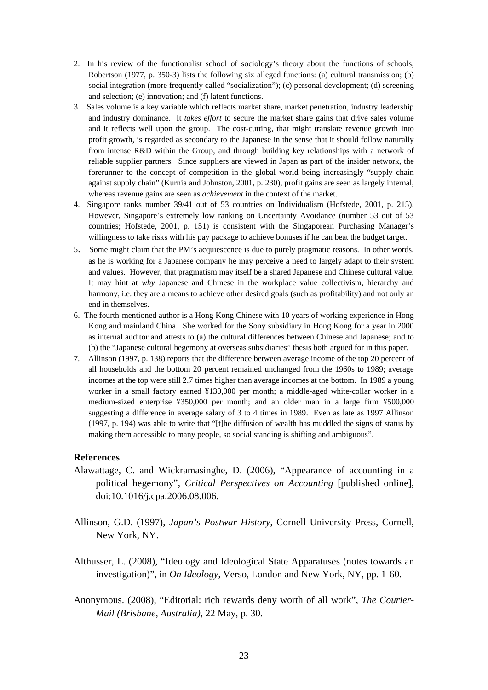- 2. In his review of the functionalist school of sociology's theory about the functions of schools, Robertson (1977, p. 350-3) lists the following six alleged functions: (a) cultural transmission; (b) social integration (more frequently called "socialization"); (c) personal development; (d) screening and selection; (e) innovation; and (f) latent functions.
- 3. Sales volume is a key variable which reflects market share, market penetration, industry leadership and industry dominance. It *takes effort* to secure the market share gains that drive sales volume and it reflects well upon the group. The cost-cutting, that might translate revenue growth into profit growth, is regarded as secondary to the Japanese in the sense that it should follow naturally from intense R&D within the Group, and through building key relationships with a network of reliable supplier partners. Since suppliers are viewed in Japan as part of the insider network, the forerunner to the concept of competition in the global world being increasingly "supply chain against supply chain" (Kurnia and Johnston, 2001, p. 230), profit gains are seen as largely internal, whereas revenue gains are seen as *achievement* in the context of the market.
- 4. Singapore ranks number 39/41 out of 53 countries on Individualism (Hofstede, 2001, p. 215). However, Singapore's extremely low ranking on Uncertainty Avoidance (number 53 out of 53 countries; Hofstede, 2001, p. 151) is consistent with the Singaporean Purchasing Manager's willingness to take risks with his pay package to achieve bonuses if he can beat the budget target.
- 5. Some might claim that the PM's acquiescence is due to purely pragmatic reasons. In other words, as he is working for a Japanese company he may perceive a need to largely adapt to their system and values. However, that pragmatism may itself be a shared Japanese and Chinese cultural value. It may hint at *why* Japanese and Chinese in the workplace value collectivism, hierarchy and harmony, i.e. they are a means to achieve other desired goals (such as profitability) and not only an end in themselves.
- 6. The fourth-mentioned author is a Hong Kong Chinese with 10 years of working experience in Hong Kong and mainland China. She worked for the Sony subsidiary in Hong Kong for a year in 2000 as internal auditor and attests to (a) the cultural differences between Chinese and Japanese; and to (b) the "Japanese cultural hegemony at overseas subsidiaries" thesis both argued for in this paper.
- 7. Allinson (1997, p. 138) reports that the difference between average income of the top 20 percent of all households and the bottom 20 percent remained unchanged from the 1960s to 1989; average incomes at the top were still 2.7 times higher than average incomes at the bottom. In 1989 a young worker in a small factory earned ¥130,000 per month; a middle-aged white-collar worker in a medium-sized enterprise ¥350,000 per month; and an older man in a large firm ¥500,000 suggesting a difference in average salary of 3 to 4 times in 1989. Even as late as 1997 Allinson (1997, p. 194) was able to write that "[t]he diffusion of wealth has muddled the signs of status by making them accessible to many people, so social standing is shifting and ambiguous".

#### **References**

- Alawattage, C. and Wickramasinghe, D. (2006), "Appearance of accounting in a political hegemony", *Critical Perspectives on Accounting* [published online], doi:10.1016/j.cpa.2006.08.006.
- Allinson, G.D. (1997), *Japan's Postwar History*, Cornell University Press, Cornell, New York, NY.
- Althusser, L. (2008), "Ideology and Ideological State Apparatuses (notes towards an investigation)", in *On Ideology*, Verso, London and New York, NY, pp. 1-60.
- Anonymous. (2008), "Editorial: rich rewards deny worth of all work", *The Courier-Mail (Brisbane, Australia)*, 22 May, p. 30.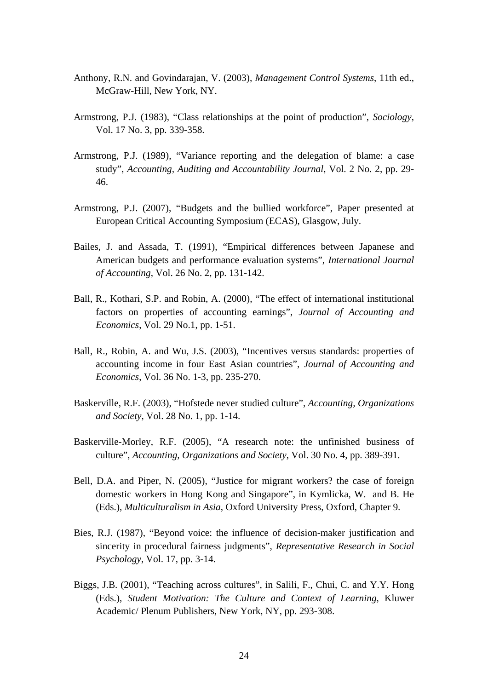- Anthony, R.N. and Govindarajan, V. (2003), *Management Control Systems*, 11th ed., McGraw-Hill, New York, NY.
- Armstrong, P.J. (1983), "Class relationships at the point of production", *Sociology*, Vol. 17 No. 3, pp. 339-358.
- Armstrong, P.J. (1989), "Variance reporting and the delegation of blame: a case study", *Accounting, Auditing and Accountability Journal*, Vol. 2 No. 2, pp. 29- 46.
- Armstrong, P.J. (2007), "Budgets and the bullied workforce", Paper presented at European Critical Accounting Symposium (ECAS), Glasgow, July.
- Bailes, J. and Assada, T. (1991), "Empirical differences between Japanese and American budgets and performance evaluation systems", *International Journal of Accounting*, Vol. 26 No. 2, pp. 131-142.
- Ball, R., Kothari, S.P. and Robin, A. (2000), "The effect of international institutional factors on properties of accounting earnings", *Journal of Accounting and Economics*, Vol. 29 No.1, pp. 1-51.
- Ball, R., Robin, A. and Wu, J.S. (2003), "Incentives versus standards: properties of accounting income in four East Asian countries", *Journal of Accounting and Economics*, Vol. 36 No. 1-3, pp. 235-270.
- Baskerville, R.F. (2003), "Hofstede never studied culture", *Accounting, Organizations and Society*, Vol. 28 No. 1, pp. 1-14.
- Baskerville-Morley, R.F. (2005), "A research note: the unfinished business of culture", *Accounting, Organizations and Society*, Vol. 30 No. 4, pp. 389-391.
- Bell, D.A. and Piper, N. (2005), "Justice for migrant workers? the case of foreign domestic workers in Hong Kong and Singapore", in Kymlicka, W. and B. He (Eds.), *Multiculturalism in Asia*, Oxford University Press, Oxford, Chapter 9.
- Bies, R.J. (1987), "Beyond voice: the influence of decision-maker justification and sincerity in procedural fairness judgments", *Representative Research in Social Psychology*, Vol. 17, pp. 3-14.
- Biggs, J.B. (2001), "Teaching across cultures", in Salili, F., Chui, C. and Y.Y. Hong (Eds.), *Student Motivation: The Culture and Context of Learning*, Kluwer Academic/ Plenum Publishers, New York, NY, pp. 293-308.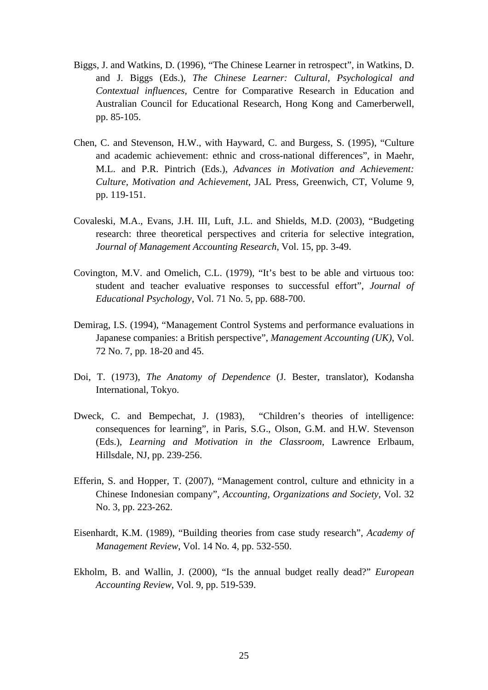- Biggs, J. and Watkins, D. (1996), "The Chinese Learner in retrospect", in Watkins, D. and J. Biggs (Eds.), *The Chinese Learner: Cultural, Psychological and Contextual influences,* Centre for Comparative Research in Education and Australian Council for Educational Research, Hong Kong and Camerberwell, pp. 85-105.
- Chen, C. and Stevenson, H.W., with Hayward, C. and Burgess, S. (1995), "Culture and academic achievement: ethnic and cross-national differences", in Maehr, M.L. and P.R. Pintrich (Eds.), *Advances in Motivation and Achievement: Culture, Motivation and Achievement*, JAL Press, Greenwich, CT, Volume 9, pp. 119-151.
- Covaleski, M.A., Evans, J.H. III, Luft, J.L. and Shields, M.D. (2003), "Budgeting research: three theoretical perspectives and criteria for selective integration, *Journal of Management Accounting Research*, Vol. 15, pp. 3-49.
- Covington, M.V. and Omelich, C.L. (1979), "It's best to be able and virtuous too: student and teacher evaluative responses to successful effort", *Journal of Educational Psychology*, Vol. 71 No. 5, pp. 688-700.
- Demirag, I.S. (1994), "Management Control Systems and performance evaluations in Japanese companies: a British perspective", *Management Accounting (UK)*, Vol. 72 No. 7, pp. 18-20 and 45.
- Doi, T. (1973), *The Anatomy of Dependence* (J. Bester, translator), Kodansha International, Tokyo.
- Dweck, C. and Bempechat, J. (1983), "Children's theories of intelligence: consequences for learning", in Paris, S.G., Olson, G.M. and H.W. Stevenson (Eds.), *Learning and Motivation in the Classroom*, Lawrence Erlbaum, Hillsdale, NJ, pp. 239-256.
- Efferin, S. and Hopper, T. (2007), "Management control, culture and ethnicity in a Chinese Indonesian company", *Accounting, Organizations and Society*, Vol. 32 No. 3, pp. 223-262.
- Eisenhardt, K.M. (1989), "Building theories from case study research", *Academy of Management Review*, Vol. 14 No. 4, pp. 532-550.
- Ekholm, B. and Wallin, J. (2000), "Is the annual budget really dead?" *European Accounting Review*, Vol. 9, pp. 519-539.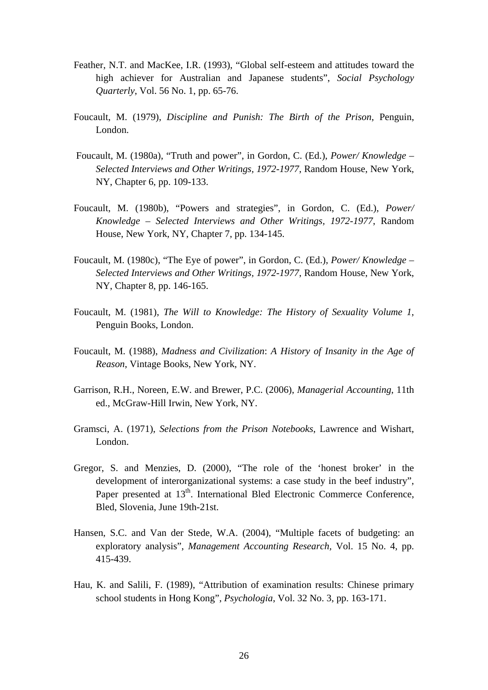- Feather, N.T. and MacKee, I.R. (1993), "Global self-esteem and attitudes toward the high achiever for Australian and Japanese students", *Social Psychology Quarterly*, Vol. 56 No. 1, pp. 65-76.
- Foucault, M. (1979), *Discipline and Punish: The Birth of the Prison*, Penguin, London.
- Foucault, M. (1980a), "Truth and power", in Gordon, C. (Ed.), *Power/ Knowledge – Selected Interviews and Other Writings, 1972-1977*, Random House, New York, NY, Chapter 6, pp. 109-133.
- Foucault, M. (1980b), "Powers and strategies", in Gordon, C. (Ed.), *Power/ Knowledge – Selected Interviews and Other Writings, 1972-1977*, Random House, New York, NY, Chapter 7, pp. 134-145.
- Foucault, M. (1980c), "The Eye of power", in Gordon, C. (Ed.), *Power/ Knowledge – Selected Interviews and Other Writings, 1972-1977*, Random House, New York, NY, Chapter 8, pp. 146-165.
- Foucault, M. (1981), *The Will to Knowledge: The History of Sexuality Volume 1*, Penguin Books, London.
- Foucault, M. (1988), *Madness and Civilization*: *A History of Insanity in the Age of Reason*, Vintage Books, New York, NY.
- Garrison, R.H., Noreen, E.W. and Brewer, P.C. (2006), *Managerial Accounting*, 11th ed., McGraw-Hill Irwin, New York, NY.
- Gramsci, A. (1971), *Selections from the Prison Notebooks*, Lawrence and Wishart, London.
- Gregor, S. and Menzies, D. (2000), "The role of the 'honest broker' in the development of interorganizational systems: a case study in the beef industry", Paper presented at 13<sup>th</sup>. International Bled Electronic Commerce Conference, Bled, Slovenia, June 19th-21st.
- Hansen, S.C. and Van der Stede, W.A. (2004), "Multiple facets of budgeting: an exploratory analysis", *Management Accounting Research,* Vol. 15 No. 4, pp. 415-439.
- Hau, K. and Salili, F. (1989), "Attribution of examination results: Chinese primary school students in Hong Kong", *Psychologia*, Vol. 32 No. 3, pp. 163-171.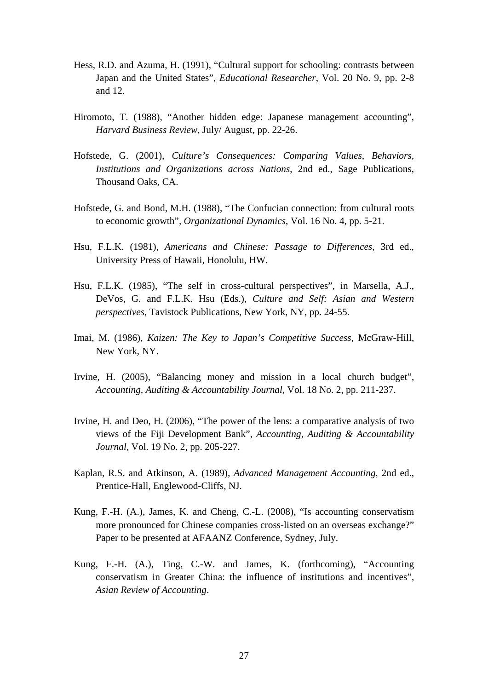- Hess, R.D. and Azuma, H. (1991), "Cultural support for schooling: contrasts between Japan and the United States", *Educational Researcher*, Vol. 20 No. 9, pp. 2-8 and 12.
- Hiromoto, T. (1988), "Another hidden edge: Japanese management accounting", *Harvard Business Review*, July/ August, pp. 22-26.
- Hofstede, G. (2001), *Culture's Consequences: Comparing Values, Behaviors, Institutions and Organizations across Nations*, 2nd ed., Sage Publications, Thousand Oaks, CA.
- Hofstede, G. and Bond, M.H. (1988), "The Confucian connection: from cultural roots to economic growth"*, Organizational Dynamics*, Vol. 16 No. 4, pp. 5-21.
- Hsu, F.L.K. (1981), *Americans and Chinese: Passage to Differences*, 3rd ed., University Press of Hawaii, Honolulu, HW.
- Hsu, F.L.K. (1985), "The self in cross-cultural perspectives", in Marsella, A.J., DeVos, G. and F.L.K. Hsu (Eds.), *Culture and Self: Asian and Western perspectives*, Tavistock Publications, New York, NY, pp. 24-55.
- Imai, M. (1986), *Kaizen: The Key to Japan's Competitive Success*, McGraw-Hill, New York, NY.
- Irvine, H. (2005), "Balancing money and mission in a local church budget", *Accounting, Auditing & Accountability Journal*, Vol. 18 No. 2, pp. 211-237.
- Irvine, H. and Deo, H. (2006), "The power of the lens: a comparative analysis of two views of the Fiji Development Bank", *Accounting, Auditing & Accountability Journal*, Vol. 19 No. 2, pp. 205-227.
- Kaplan, R.S. and Atkinson, A. (1989), *Advanced Management Accounting*, 2nd ed., Prentice-Hall, Englewood-Cliffs, NJ.
- Kung, F.-H. (A.), James, K. and Cheng, C.-L. (2008), "Is accounting conservatism more pronounced for Chinese companies cross-listed on an overseas exchange?" Paper to be presented at AFAANZ Conference, Sydney, July.
- Kung, F.-H. (A.), Ting, C.-W. and James, K. (forthcoming), "Accounting conservatism in Greater China: the influence of institutions and incentives", *Asian Review of Accounting*.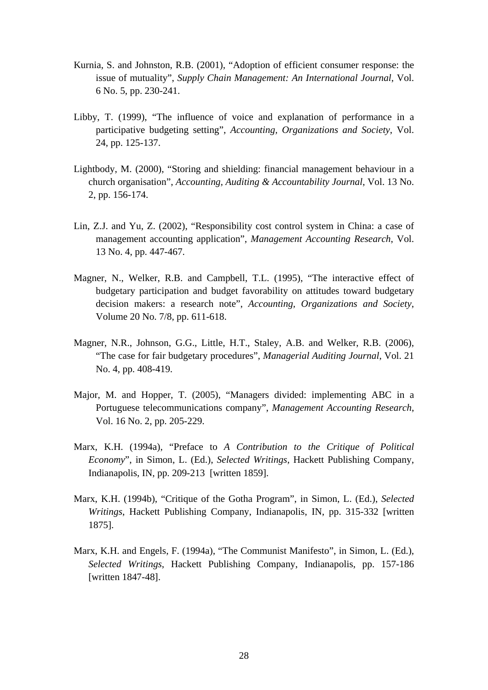- Kurnia, S. and Johnston, R.B. (2001), "Adoption of efficient consumer response: the issue of mutuality", *Supply Chain Management: An International Journal*, Vol. 6 No. 5, pp. 230-241.
- Libby, T. (1999), "The influence of voice and explanation of performance in a participative budgeting setting", *Accounting, Organizations and Society*, Vol. 24, pp. 125-137.
- Lightbody, M. (2000), "Storing and shielding: financial management behaviour in a church organisation", *Accounting, Auditing & Accountability Journal*, Vol. 13 No. 2, pp. 156-174.
- Lin, Z.J. and Yu, Z. (2002), "Responsibility cost control system in China: a case of management accounting application", *Management Accounting Research*, Vol. 13 No. 4, pp. 447-467.
- Magner, N., Welker, R.B. and Campbell, T.L. (1995), "The interactive effect of budgetary participation and budget favorability on attitudes toward budgetary decision makers: a research note", *Accounting, Organizations and Society*, Volume 20 No. 7/8, pp. 611-618.
- Magner, N.R., Johnson, G.G., Little, H.T., Staley, A.B. and Welker, R.B. (2006), "The case for fair budgetary procedures", *Managerial Auditing Journal*, Vol. 21 No. 4, pp. 408-419.
- Major, M. and Hopper, T. (2005), "Managers divided: implementing ABC in a Portuguese telecommunications company", *Management Accounting Research*, Vol. 16 No. 2, pp. 205-229.
- Marx, K.H. (1994a), "Preface to *A Contribution to the Critique of Political Economy*", in Simon, L. (Ed.), *Selected Writings*, Hackett Publishing Company, Indianapolis, IN, pp. 209-213 [written 1859].
- Marx, K.H. (1994b), "Critique of the Gotha Program", in Simon, L. (Ed.), *Selected Writings*, Hackett Publishing Company, Indianapolis, IN, pp. 315-332 [written 1875].
- Marx, K.H. and Engels, F. (1994a), "The Communist Manifesto", in Simon, L. (Ed.), *Selected Writings*, Hackett Publishing Company, Indianapolis, pp. 157-186 [written 1847-48].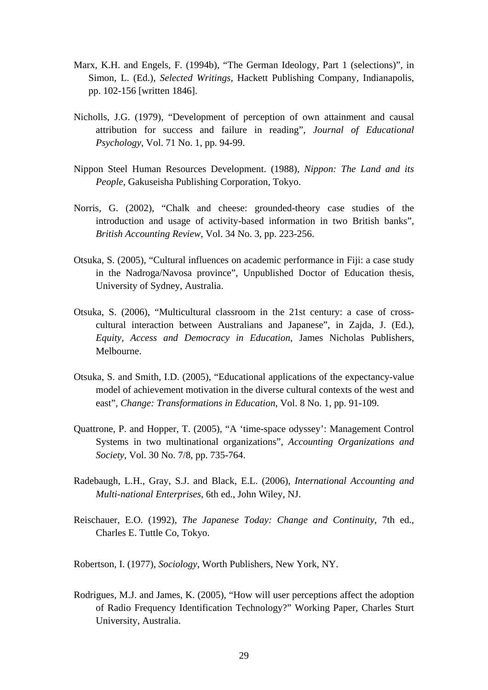- Marx, K.H. and Engels, F. (1994b), "The German Ideology, Part 1 (selections)", in Simon, L. (Ed.), *Selected Writings*, Hackett Publishing Company, Indianapolis, pp. 102-156 [written 1846].
- Nicholls, J.G. (1979), "Development of perception of own attainment and causal attribution for success and failure in reading", *Journal of Educational Psychology*, Vol. 71 No. 1, pp. 94-99.
- Nippon Steel Human Resources Development. (1988), *Nippon: The Land and its People*, Gakuseisha Publishing Corporation, Tokyo.
- Norris, G. (2002), "Chalk and cheese: grounded-theory case studies of the introduction and usage of activity-based information in two British banks", *British Accounting Review*, Vol. 34 No. 3, pp. 223-256.
- Otsuka, S. (2005), "Cultural influences on academic performance in Fiji: a case study in the Nadroga/Navosa province", Unpublished Doctor of Education thesis, University of Sydney, Australia.
- Otsuka, S. (2006), "Multicultural classroom in the 21st century: a case of crosscultural interaction between Australians and Japanese", in Zajda, J. (Ed.), *Equity, Access and Democracy in Education*, James Nicholas Publishers, Melbourne.
- Otsuka, S. and Smith, I.D. (2005), "Educational applications of the expectancy-value model of achievement motivation in the diverse cultural contexts of the west and east", *Change: Transformations in Education*, Vol. 8 No. 1, pp. 91-109.
- Quattrone, P. and Hopper, T. (2005), "A 'time-space odyssey': Management Control Systems in two multinational organizations", *Accounting Organizations and Society,* Vol. 30 No. 7/8, pp. 735-764.
- Radebaugh, L.H., Gray, S.J. and Black, E.L. (2006), *International Accounting and Multi-national Enterprises*, 6th ed., John Wiley, NJ.
- Reischauer, E.O. (1992), *The Japanese Today: Change and Continuity*, 7th ed., Charles E. Tuttle Co, Tokyo.

Robertson, I. (1977), *Sociology*, Worth Publishers, New York, NY.

Rodrigues, M.J. and James, K. (2005), "How will user perceptions affect the adoption of Radio Frequency Identification Technology?" Working Paper, Charles Sturt University, Australia.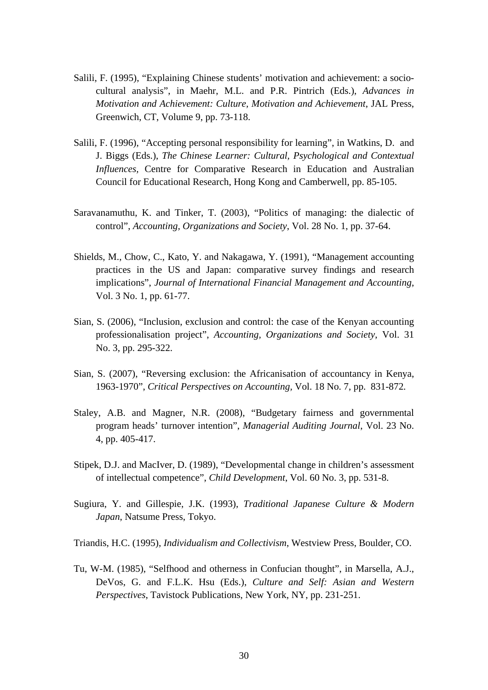- Salili, F. (1995), "Explaining Chinese students' motivation and achievement: a sociocultural analysis", in Maehr, M.L. and P.R. Pintrich (Eds.), *Advances in Motivation and Achievement: Culture, Motivation and Achievement*, JAL Press, Greenwich, CT, Volume 9, pp. 73-118.
- Salili, F. (1996), "Accepting personal responsibility for learning", in Watkins, D. and J. Biggs (Eds.), *The Chinese Learner: Cultural, Psychological and Contextual Influences,* Centre for Comparative Research in Education and Australian Council for Educational Research, Hong Kong and Camberwell, pp. 85-105.
- Saravanamuthu, K. and Tinker, T. (2003), "Politics of managing: the dialectic of control", *Accounting, Organizations and Society*, Vol. 28 No. 1, pp. 37-64.
- Shields, M., Chow, C., Kato, Y. and Nakagawa, Y. (1991), "Management accounting practices in the US and Japan: comparative survey findings and research implications", *Journal of International Financial Management and Accounting*, Vol. 3 No. 1, pp. 61-77.
- Sian, S. (2006), "Inclusion, exclusion and control: the case of the Kenyan accounting professionalisation project", *Accounting, Organizations and Society*, Vol. 31 No. 3, pp. 295-322.
- Sian, S. (2007), "Reversing exclusion: the Africanisation of accountancy in Kenya, 1963-1970", *Critical Perspectives on Accounting,* Vol. 18 No. 7, pp.831-872*.*
- Staley, A.B. and Magner, N.R. (2008), "Budgetary fairness and governmental program heads' turnover intention", *Managerial Auditing Journal*, Vol. 23 No. 4, pp. 405-417.
- Stipek, D.J. and MacIver, D. (1989), "Developmental change in children's assessment of intellectual competence", *Child Development*, Vol. 60 No. 3, pp. 531-8.
- Sugiura, Y. and Gillespie, J.K. (1993), *Traditional Japanese Culture & Modern Japan*, Natsume Press, Tokyo.
- Triandis, H.C. (1995), *Individualism and Collectivism*, Westview Press, Boulder, CO.
- Tu, W-M. (1985), "Selfhood and otherness in Confucian thought", in Marsella, A.J., DeVos, G. and F.L.K. Hsu (Eds.), *Culture and Self: Asian and Western Perspectives*, Tavistock Publications, New York, NY, pp. 231-251.